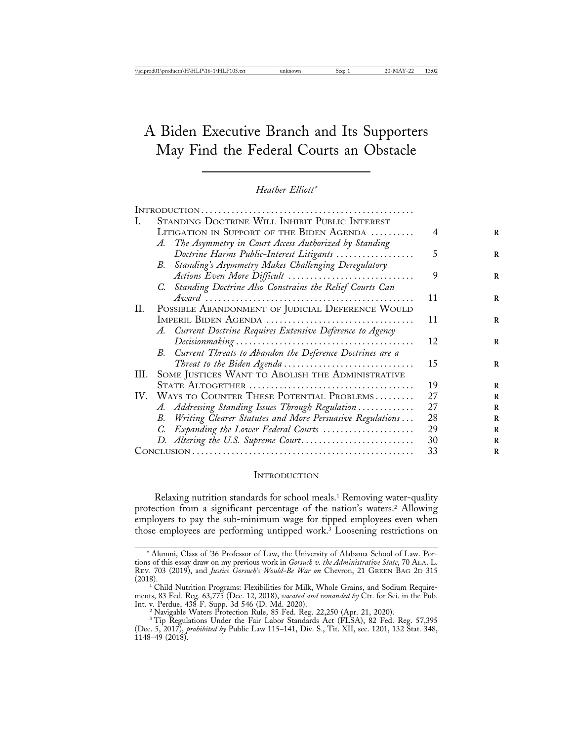# A Biden Executive Branch and Its Supporters May Find the Federal Courts an Obstacle

*Heather Elliott\**

|      | STANDING DOCTRINE WILL INHIBIT PUBLIC INTEREST                                               |    |
|------|----------------------------------------------------------------------------------------------|----|
|      | LITIGATION IN SUPPORT OF THE BIDEN AGENDA                                                    | 4  |
|      | The Asymmetry in Court Access Authorized by Standing<br>A.                                   |    |
|      | Doctrine Harms Public-Interest Litigants                                                     | 5  |
|      | Standing's Asymmetry Makes Challenging Deregulatory<br>В.                                    |    |
|      | Actions Even More Difficult $\ldots \ldots \ldots \ldots \ldots \ldots \ldots \ldots \ldots$ | 9  |
|      | C. Standing Doctrine Also Constrains the Relief Courts Can                                   |    |
|      |                                                                                              | 11 |
| П.   | POSSIBLE ABANDONMENT OF JUDICIAL DEFERENCE WOULD                                             |    |
|      | IMPERIL BIDEN AGENDA                                                                         | 11 |
|      | A. Current Doctrine Requires Extensive Deference to Agency                                   |    |
|      |                                                                                              | 12 |
|      | Current Threats to Abandon the Deference Doctrines are a<br>В.                               |    |
|      | Threat to the Biden Agenda                                                                   | 15 |
| III. | SOME JUSTICES WANT TO ABOLISH THE ADMINISTRATIVE                                             |    |
|      |                                                                                              | 19 |
|      | IV. WAYS TO COUNTER THESE POTENTIAL PROBLEMS                                                 | 27 |
|      | A. Addressing Standing Issues Through Regulation                                             | 27 |
|      | Writing Clearer Statutes and More Persuasive Regulations<br>В.                               | 28 |
|      | C. Expanding the Lower Federal Courts                                                        | 29 |
|      | D. Altering the U.S. Supreme Court                                                           | 30 |
|      |                                                                                              | 33 |

#### **INTRODUCTION**

Relaxing nutrition standards for school meals.1 Removing water-quality protection from a significant percentage of the nation's waters.2 Allowing employers to pay the sub-minimum wage for tipped employees even when those employees are performing untipped work.3 Loosening restrictions on

<sup>\*</sup> Alumni, Class of '36 Professor of Law, the University of Alabama School of Law. Portions of this essay draw on my previous work in *Gorsuch v. the Administrative State*, 70 ALA. L. REV. 703 (2019), and *Justice Gorsuch's Would-Be War on* Chevron, 21 GREEN BAG 2D 315

<sup>&</sup>lt;sup>1</sup> Child Nutrition Programs: Flexibilities for Milk, Whole Grains, and Sodium Requirements, 83 Fed. Reg. 63,775 (Dec. 12, 2018), *vacated and remanded by* Ctr. for Sci. in the Pub. Int. v. Perdue, 438 F. Supp. 3d 546 (D. Md. 2020). <sup>2</sup> Navigable Waters Protection Rule, 85 Fed. Reg. 22,250 (Apr. 21, 2020).

<sup>&</sup>lt;sup>3</sup> Tip Regulations Under the Fair Labor Standards Act (FLSA), 82 Fed. Reg. 57,395 (Dec. 5, 2017), *prohibited by* Public Law 115–141, Div. S., Tit. XII, sec. 1201, 132 Stat. 348, 1148–49 (2018).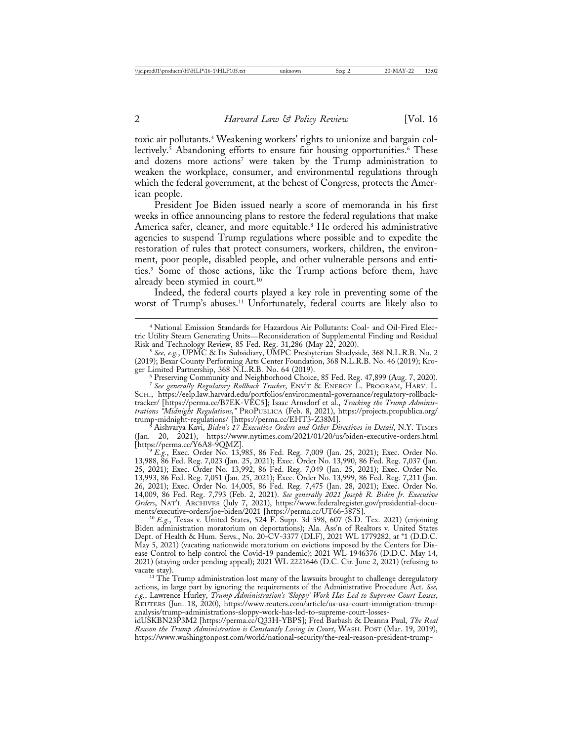toxic air pollutants.4 Weakening workers' rights to unionize and bargain collectively.<sup>5</sup> Abandoning efforts to ensure fair housing opportunities.<sup>6</sup> These and dozens more actions<sup>7</sup> were taken by the Trump administration to weaken the workplace, consumer, and environmental regulations through which the federal government, at the behest of Congress, protects the American people.

President Joe Biden issued nearly a score of memoranda in his first weeks in office announcing plans to restore the federal regulations that make America safer, cleaner, and more equitable.<sup>8</sup> He ordered his administrative agencies to suspend Trump regulations where possible and to expedite the restoration of rules that protect consumers, workers, children, the environment, poor people, disabled people, and other vulnerable persons and entities.9 Some of those actions, like the Trump actions before them, have already been stymied in court.<sup>10</sup>

Indeed, the federal courts played a key role in preventing some of the worst of Trump's abuses.<sup>11</sup> Unfortunately, federal courts are likely also to

<sup>8</sup> Aishvarya Kavi, *Biden's 17 Executive Orders and Other Directives in Detail*, N.Y. TIMES<br>(Jan. 20, 2021), https://www.nytimes.com/2021/01/20/us/biden-executive-orders.html (Jan. 20, 2021), https://www.nytimes.com/2021/01/20/us/biden-executive-orders.html<br>[https://perma.cc/Y6A8-9QMZ].

<sup>}</sup> E.g., Exec. Order No. 13,985, 86 Fed. Reg. 7,009 (Jan. 25, 2021); Exec. Order No. 13,988, 86 Fed. Reg. 7,023 (Jan. 25, 2021); Exec. Order No. 13,990, 86 Fed. Reg. 7,037 (Jan. 25, 2021); Exec. Order No. 13,992, 86 Fed. Reg. 7,049 (Jan. 25, 2021); Exec. Order No. 13,993, 86 Fed. Reg. 7,051 (Jan. 25, 2021); Exec. Order No. 13,999, 86 Fed. Reg. 7,211 (Jan. 26, 2021); Exec. Order No. 14,005, 86 Fed. Reg. 7,475 (Jan. 28, 2021); Exec. Order No. 14,009, 86 Fed. Reg. 7,793 (Feb. 2, 2021). *See generally 2021 Joseph R. Biden Jr. Executive Orders*, NAT'L ARCHIVES (July 7, 2021), https://www.federalregister.gov/presidential-documents/executive-orders/joe-biden/2021 [https://perma.cc/UT66-387S]. <sup>10</sup> *E.g.*, Texas v. United States, 524 F. Supp. 3d 598, 607 (S.D. Tex. 2021) (enjoining

Biden administration moratorium on deportations); Ala. Ass'n of Realtors v. United States Dept. of Health & Hum. Servs., No. 20-CV-3377 (DLF), 2021 WL 1779282, at \*1 (D.D.C. May 5, 2021) (vacating nationwide moratorium on evictions imposed by the Centers for Disease Control to help control the Covid-19 pandemic); 2021 WL 1946376 (D.D.C. May 14, 2021) (staying order pending appeal); 2021 WL 2221646 (D.C. Cir. June 2, 2021) (refusing to

vacate stay). <sup>11</sup> The Trump administration lost many of the lawsuits brought to challenge deregulatory actions, in large part by ignoring the requirements of the Administrative Procedure Act. *See, e.g.*, Lawrence Hurley, *Trump Administration's 'Sloppy' Work Has Led to Supreme Court Losses*, REUTERS (Jun. 18, 2020), https://www.reuters.com/article/us-usa-court-immigration-trumpanalysis/trump-administrations-sloppy-work-has-led-to-supreme-court-losses-

idUSKBN23P3M2 [https://perma.cc/Q33H-YBPS]; Fred Barbash & Deanna Paul, *The Real Reason the Trump Administration is Constantly Losing in Court*, WASH. POST (Mar. 19, 2019), https://www.washingtonpost.com/world/national-security/the-real-reason-president-trump-

<sup>4</sup> National Emission Standards for Hazardous Air Pollutants: Coal- and Oil-Fired Electric Utility Steam Generating Units—Reconsideration of Supplemental Finding and Residual

Risk and Technology Review, 85 Fed. Reg. 31,286 (May 22, 2020). <sup>5</sup> *See, e.g.*, UPMC & Its Subsidiary, UMPC Presbyterian Shadyside, 368 N.L.R.B. No. 2 (2019); Bexar County Performing Arts Center Foundation, 368 N.L.R.B. No. 46 (2019); Kroger Limited Partnership, 368 N.L.R.B. No. 64 (2019).<br>6 Preserving Community and Neighborhood Choice, 85 Fed. Reg. 47,899 (Aug. 7, 2020).

<sup>7</sup> *See generally Regulatory Rollback Tracker*, ENV'T & ENERGY L. PROGRAM, HARV. L. SCH., https://eelp.law.harvard.edu/portfolios/environmental-governance/regulatory-rollbacktracker/ [https://perma.cc/B7EK-VEC5]; Isaac Arnsdorf et al., *Tracking the Trump Administrations "Midnight Regulations,"* PROPUBLICA (Feb. 8, 2021), https://projects.propublica.org/<br>trump-midnight-regulations/ [https://perma.cc/EHT3-Z38M].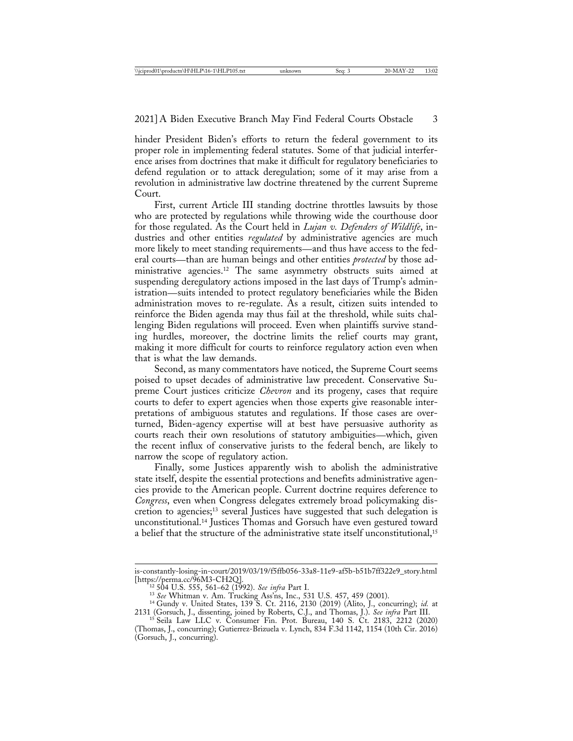hinder President Biden's efforts to return the federal government to its proper role in implementing federal statutes. Some of that judicial interference arises from doctrines that make it difficult for regulatory beneficiaries to defend regulation or to attack deregulation; some of it may arise from a revolution in administrative law doctrine threatened by the current Supreme Court.

First, current Article III standing doctrine throttles lawsuits by those who are protected by regulations while throwing wide the courthouse door for those regulated. As the Court held in *Lujan v. Defenders of Wildlife*, industries and other entities *regulated* by administrative agencies are much more likely to meet standing requirements—and thus have access to the federal courts—than are human beings and other entities *protected* by those administrative agencies.12 The same asymmetry obstructs suits aimed at suspending deregulatory actions imposed in the last days of Trump's administration—suits intended to protect regulatory beneficiaries while the Biden administration moves to re-regulate. As a result, citizen suits intended to reinforce the Biden agenda may thus fail at the threshold, while suits challenging Biden regulations will proceed. Even when plaintiffs survive standing hurdles, moreover, the doctrine limits the relief courts may grant, making it more difficult for courts to reinforce regulatory action even when that is what the law demands.

Second, as many commentators have noticed, the Supreme Court seems poised to upset decades of administrative law precedent. Conservative Supreme Court justices criticize *Chevron* and its progeny, cases that require courts to defer to expert agencies when those experts give reasonable interpretations of ambiguous statutes and regulations. If those cases are overturned, Biden-agency expertise will at best have persuasive authority as courts reach their own resolutions of statutory ambiguities—which, given the recent influx of conservative jurists to the federal bench, are likely to narrow the scope of regulatory action.

Finally, some Justices apparently wish to abolish the administrative state itself, despite the essential protections and benefits administrative agencies provide to the American people. Current doctrine requires deference to *Congress*, even when Congress delegates extremely broad policymaking discretion to agencies;13 several Justices have suggested that such delegation is unconstitutional.14 Justices Thomas and Gorsuch have even gestured toward a belief that the structure of the administrative state itself unconstitutional,<sup>15</sup>

is-constantly-losing-in-court/2019/03/19/f5ffb056-33a8-11e9-af5b-b51b7ff322e9\_story.html [https://perma.cc/96M3-CH2Q].<br><sup>12</sup> 504 U.S. 555, 561–62 (1992). *See infra* Part I.<br><sup>13</sup> *See* Whitman v. Am. Trucking Ass'ns, Inc., 531 U.S. 457, 459 (2001).<br><sup>14</sup> Gundy v. United States, 139 S. Ct. 2116, 2130 (2019) (Alit

<sup>2131 (</sup>Gorsuch, J., dissenting, joined by Roberts, C.J., and Thomas, J.). *See infra* Part III. <sup>15</sup> Seila Law LLC v. Consumer Fin. Prot. Bureau, 140 S. Ct. 2183, 2212 (2020)

<sup>(</sup>Thomas, J., concurring); Gutierrez-Brizuela v. Lynch, 834 F.3d 1142, 1154 (10th Cir. 2016) (Gorsuch, J., concurring).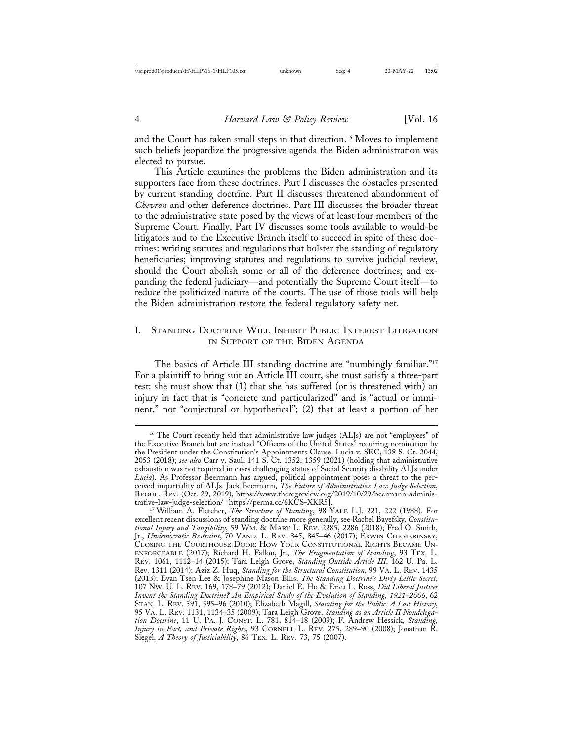and the Court has taken small steps in that direction.<sup>16</sup> Moves to implement such beliefs jeopardize the progressive agenda the Biden administration was elected to pursue.

This Article examines the problems the Biden administration and its supporters face from these doctrines. Part I discusses the obstacles presented by current standing doctrine. Part II discusses threatened abandonment of *Chevron* and other deference doctrines. Part III discusses the broader threat to the administrative state posed by the views of at least four members of the Supreme Court. Finally, Part IV discusses some tools available to would-be litigators and to the Executive Branch itself to succeed in spite of these doctrines: writing statutes and regulations that bolster the standing of regulatory beneficiaries; improving statutes and regulations to survive judicial review, should the Court abolish some or all of the deference doctrines; and expanding the federal judiciary—and potentially the Supreme Court itself—to reduce the politicized nature of the courts. The use of those tools will help the Biden administration restore the federal regulatory safety net.

## I. STANDING DOCTRINE WILL INHIBIT PUBLIC INTEREST LITIGATION IN SUPPORT OF THE BIDEN AGENDA

The basics of Article III standing doctrine are "numbingly familiar."<sup>17</sup> For a plaintiff to bring suit an Article III court, she must satisfy a three-part test: she must show that (1) that she has suffered (or is threatened with) an injury in fact that is "concrete and particularized" and is "actual or imminent," not "conjectural or hypothetical"; (2) that at least a portion of her

<sup>&</sup>lt;sup>16</sup> The Court recently held that administrative law judges (ALJs) are not "employees" of the Executive Branch but are instead "Officers of the United States" requiring nomination by the President under the Constitution's Appointments Clause. Lucia v. SEC, 138 S. Ct. 2044, 2053 (2018); *see also* Carr v. Saul, 141 S. Ct. 1352, 1359 (2021) (holding that administrative exhaustion was not required in cases challenging status of Social Security disability ALJs under *Lucia*). As Professor Beermann has argued, political appointment poses a threat to the perceived impartiality of ALJs. Jack Beermann, *The Future of Administrative Law Judge Selection*, REGUL. REV. (Oct. 29, 2019), https://www.theregreview.org/2019/10/29/beermann-administrative-law-judge-selection/ [https://perma.cc/6KCS-XKR5]. <sup>17</sup> William A. Fletcher, *The Structure of Standing*, 98 YALE L.J. 221, 222 (1988). For

excellent recent discussions of standing doctrine more generally, see Rachel Bayefsky*, Constitutional Injury and Tangibility*, 59 WM. & MARY L. REV. 2285, 2286 (2018); Fred O. Smith, Jr., *Undemocratic Restraint*, 70 VAND. L. REV. 845, 845–46 (2017); ERWIN CHEMERINSKY, CLOSING THE COURTHOUSE DOOR: HOW YOUR CONSTITUTIONAL RIGHTS BECAME UN-ENFORCEABLE (2017); Richard H. Fallon, Jr., *The Fragmentation of Standing*, 93 TEX. L. REV. 1061, 1112–14 (2015); Tara Leigh Grove, *Standing Outside Article III*, 162 U. Pa. L. Rev. 1311 (2014); Aziz Z. Huq, *Standing for the Structural Constitution*, 99 VA. L. REV. 1435 (2013); Evan Tsen Lee & Josephine Mason Ellis, *The Standing Doctrine's Dirty Little Secret*, 107 NW. U. L. REV. 169, 178–79 (2012); Daniel E. Ho & Erica L. Ross, *Did Liberal Justices Invent the Standing Doctrine? An Empirical Study of the Evolution of Standing, 1921*–*2006*, 62 STAN. L. REV. 591, 595–96 (2010); Elizabeth Magill, *Standing for the Public: A Lost History*, 95 VA. L. REV. 1131, 1134–35 (2009); Tara Leigh Grove, *Standing as an Article II Nondelegation Doctrine*, 11 U. PA. J. CONST. L. 781, 814–18 (2009); F. Andrew Hessick, *Standing, Injury in Fact, and Private Rights*, 93 CORNELL L. REV. 275, 289–90 (2008); Jonathan R. Siegel, *A Theory of Justiciability*, 86 TEX. L. REV. 73, 75 (2007).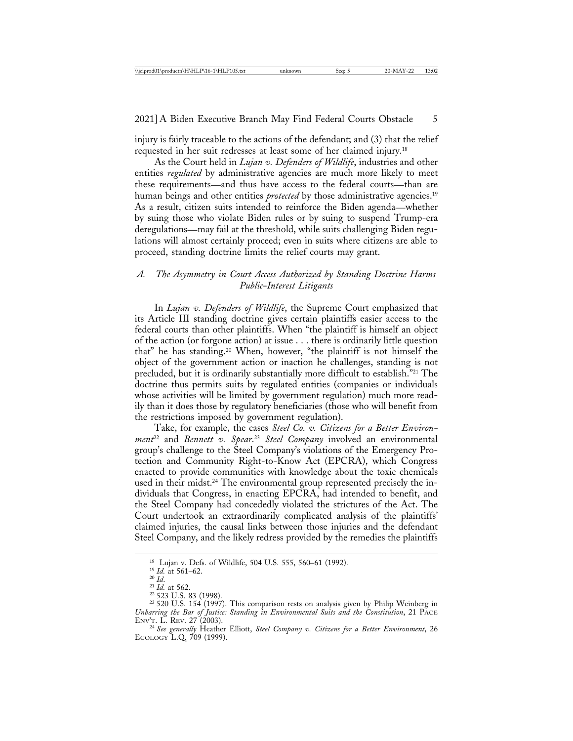injury is fairly traceable to the actions of the defendant; and (3) that the relief requested in her suit redresses at least some of her claimed injury.18

As the Court held in *Lujan v. Defenders of Wildlife*, industries and other entities *regulated* by administrative agencies are much more likely to meet these requirements—and thus have access to the federal courts—than are human beings and other entities *protected* by those administrative agencies.<sup>19</sup> As a result, citizen suits intended to reinforce the Biden agenda—whether by suing those who violate Biden rules or by suing to suspend Trump-era deregulations—may fail at the threshold, while suits challenging Biden regulations will almost certainly proceed; even in suits where citizens are able to proceed, standing doctrine limits the relief courts may grant.

# *A. The Asymmetry in Court Access Authorized by Standing Doctrine Harms Public-Interest Litigants*

In *Lujan v. Defenders of Wildlife*, the Supreme Court emphasized that its Article III standing doctrine gives certain plaintiffs easier access to the federal courts than other plaintiffs. When "the plaintiff is himself an object of the action (or forgone action) at issue . . . there is ordinarily little question that" he has standing.20 When, however, "the plaintiff is not himself the object of the government action or inaction he challenges, standing is not precluded, but it is ordinarily substantially more difficult to establish."21 The doctrine thus permits suits by regulated entities (companies or individuals whose activities will be limited by government regulation) much more readily than it does those by regulatory beneficiaries (those who will benefit from the restrictions imposed by government regulation).

Take, for example, the cases *Steel Co. v. Citizens for a Better Environment*22 and *Bennett v. Spear*. <sup>23</sup> *Steel Company* involved an environmental group's challenge to the Steel Company's violations of the Emergency Protection and Community Right-to-Know Act (EPCRA), which Congress enacted to provide communities with knowledge about the toxic chemicals used in their midst.<sup>24</sup> The environmental group represented precisely the individuals that Congress, in enacting EPCRA, had intended to benefit, and the Steel Company had concededly violated the strictures of the Act. The Court undertook an extraordinarily complicated analysis of the plaintiffs' claimed injuries, the causal links between those injuries and the defendant Steel Company, and the likely redress provided by the remedies the plaintiffs

<sup>&</sup>lt;sup>18</sup> Lujan v. Defs. of Wildlife, 504 U.S. 555, 560–61 (1992).<br><sup>19</sup> *Id.* at 561–62.<br><sup>20</sup> *Id.*<br><sup>21</sup> *Id.* at 562.<br><sup>22</sup> 523 U.S. 83 (1998).<br><sup>23</sup> 520 U.S. 154 (1997). This comparison rests on analysis given by Philip Weinbe *Unbarring the Bar of Justice: Standing in Environmental Suits and the Constitution*, 21 PACE ENV'T. L. REV. 27 (2003).

<sup>&</sup>lt;sup>24</sup> See generally Heather Elliott, Steel Company v. Citizens for a Better Environment, 26 ECOLOGY L.Q. 709 (1999).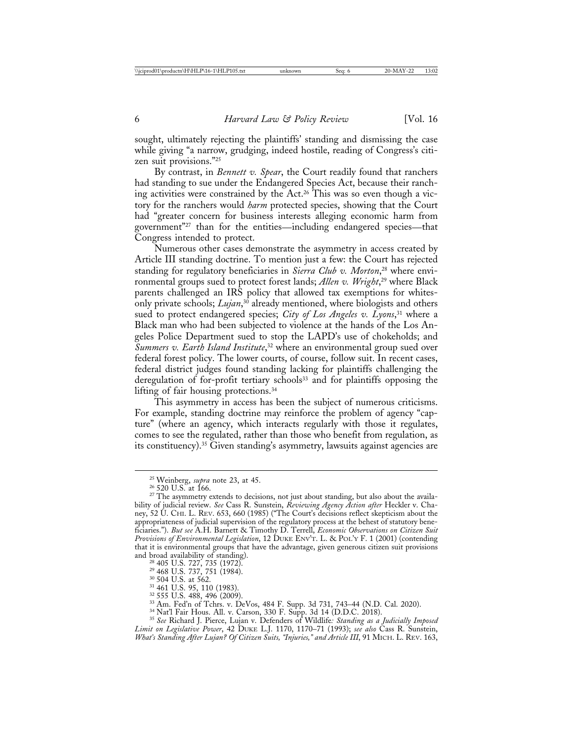sought, ultimately rejecting the plaintiffs' standing and dismissing the case while giving "a narrow, grudging, indeed hostile, reading of Congress's citizen suit provisions."25

By contrast, in *Bennett v. Spear*, the Court readily found that ranchers had standing to sue under the Endangered Species Act, because their ranching activities were constrained by the Act.<sup>26</sup> This was so even though a victory for the ranchers would *harm* protected species, showing that the Court had "greater concern for business interests alleging economic harm from government"27 than for the entities—including endangered species—that Congress intended to protect.

Numerous other cases demonstrate the asymmetry in access created by Article III standing doctrine. To mention just a few: the Court has rejected standing for regulatory beneficiaries in *Sierra Club v. Morton*, 28 where environmental groups sued to protect forest lands; *Allen v. Wright*, 29 where Black parents challenged an IRS policy that allowed tax exemptions for whitesonly private schools; *Lujan*, 30 already mentioned, where biologists and others sued to protect endangered species; *City of Los Angeles v. Lyons*, 31 where a Black man who had been subjected to violence at the hands of the Los Angeles Police Department sued to stop the LAPD's use of chokeholds; and *Summers v. Earth Island Institute*, 32 where an environmental group sued over federal forest policy. The lower courts, of course, follow suit. In recent cases, federal district judges found standing lacking for plaintiffs challenging the deregulation of for-profit tertiary schools<sup>33</sup> and for plaintiffs opposing the lifting of fair housing protections.34

This asymmetry in access has been the subject of numerous criticisms. For example, standing doctrine may reinforce the problem of agency "capture" (where an agency, which interacts regularly with those it regulates, comes to see the regulated, rather than those who benefit from regulation, as its constituency).35 Given standing's asymmetry, lawsuits against agencies are

<sup>&</sup>lt;sup>25</sup> Weinberg, *supra* note 23, at 45.<br><sup>26</sup> 520 U.S. at 166.<br><sup>27</sup> The asymmetry extends to decisions, not just about standing, but also about the availability of judicial review. *See* Cass R. Sunstein, *Reviewing Agency Action after* Heckler v. Chaney, 52 U. CHI. L. REV. 653, 660 (1985) ("The Court's decisions reflect skepticism about the appropriateness of judicial supervision of the regulatory process at the behest of statutory beneficiaries."). *But see* A.H. Barnett & Timothy D. Terrell, *Economic Observations on Citizen Suit Provisions of Environmental Legislation*, 12 DUKE ENV'T. L. & POL'Y F. 1 (2001) (contending that it is environmental groups that have the advantage, given generous citizen suit provisions

<sup>&</sup>lt;sup>28</sup> 405 U.S. 727, 735 (1972).<br><sup>29</sup> 468 U.S. 737, 751 (1984).<br><sup>30</sup> 504 U.S. at 562.<br><sup>32</sup> 456 U.S. 488, 496 (2009).<br><sup>32</sup> 555 U.S. 488, 496 (2009).<br><sup>33</sup> 555 U.S. 488, 496 (2009).<br><sup>34</sup> Nat'l Fair Hous. All. v. Carson, 330 F. *Limit on Legislative Power*, 42 DUKE L.J. 1170, 1170–71 (1993); *see also* Cass R. Sunstein, *What's Standing After Lujan? Of Citizen Suits, "Injuries," and Article III*, 91 MICH. L. REV. 163,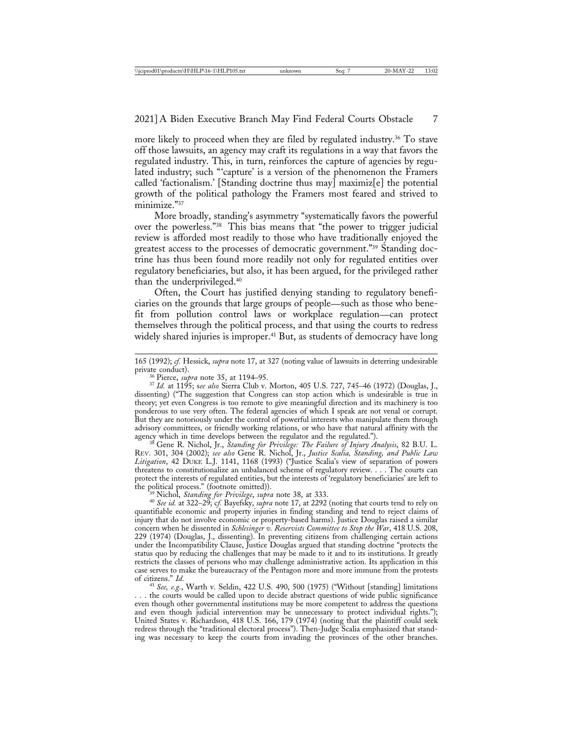more likely to proceed when they are filed by regulated industry.<sup>36</sup> To stave off those lawsuits, an agency may craft its regulations in a way that favors the regulated industry. This, in turn, reinforces the capture of agencies by regulated industry; such "'capture' is a version of the phenomenon the Framers called 'factionalism.' [Standing doctrine thus may] maximiz[e] the potential growth of the political pathology the Framers most feared and strived to minimize."37

More broadly, standing's asymmetry "systematically favors the powerful over the powerless."38 This bias means that "the power to trigger judicial review is afforded most readily to those who have traditionally enjoyed the greatest access to the processes of democratic government."39 Standing doctrine has thus been found more readily not only for regulated entities over regulatory beneficiaries, but also, it has been argued, for the privileged rather than the underprivileged.40

Often, the Court has justified denying standing to regulatory beneficiaries on the grounds that large groups of people—such as those who benefit from pollution control laws or workplace regulation—can protect themselves through the political process, and that using the courts to redress widely shared injuries is improper.<sup>41</sup> But, as students of democracy have long

REV. 301, 304 (2002); *see also* Gene R. Nichol, Jr., *Justice Scalia, Standing, and Public Law Litigation*, 42 DUKE L.J. 1141, 1168 (1993) ("Justice Scalia's view of separation of powers threatens to constitutionalize an unbalanced scheme of regulatory review. . . . The courts can protect the interests of regulated entities, but the interests of 'regulatory beneficiaries' are left to

<sup>39</sup> Nichol, *Standing for Privilege, supra* note 38, at 333.<br><sup>40</sup> *See id.* at 322–29; cf. Bayefsky, *supra* note 17, at 2292 (noting that courts tend to rely on quantifiable economic and property injuries in finding standing and tend to reject claims of injury that do not involve economic or property-based harms). Justice Douglas raised a similar concern when he dissented in *Schlesinger v. Reservists Committee to Stop the War*, 418 U.S. 208, 229 (1974) (Douglas, J., dissenting). In preventing citizens from challenging certain actions under the Incompatibility Clause, Justice Douglas argued that standing doctrine "protects the status quo by reducing the challenges that may be made to it and to its institutions. It greatly restricts the classes of persons who may challenge administrative action. Its application in this case serves to make the bureaucracy of the Pentagon more and more immune from the protests of citizens." *Id.* 

<sup>41</sup> See, e.g., Warth v. Seldin, 422 U.S. 490, 500 (1975) ("Without [standing] limitations . . . the courts would be called upon to decide abstract questions of wide public significance even though other governmental institutions may be more competent to address the questions and even though judicial intervention may be unnecessary to protect individual rights."); United States v. Richardson, 418 U.S. 166, 179 (1974) (noting that the plaintiff could seek redress through the "traditional electoral process"). Then-Judge Scalia emphasized that standing was necessary to keep the courts from invading the provinces of the other branches.

<sup>165 (1992);</sup> *cf.* Hessick, *supra* note 17, at 327 (noting value of lawsuits in deterring undesirable

private conduct). <sup>36</sup> Pierce, *supra* note 35, at 1194–95. <sup>37</sup> *Id.* at 1195; s*ee also* Sierra Club v. Morton, 405 U.S. 727, 745–46 (1972) (Douglas, J., dissenting) ("The suggestion that Congress can stop action which is undesirable is true in theory; yet even Congress is too remote to give meaningful direction and its machinery is too ponderous to use very often. The federal agencies of which I speak are not venal or corrupt. But they are notoriously under the control of powerful interests who manipulate them through advisory committees, or friendly working relations, or who have that natural affinity with the agency which in time develops between the regulator and the regulated."). <sup>38</sup> Gene R. Nichol, Jr., *Standing for Privilege: The Failure of Injury Analysis*, 82 B.U. L.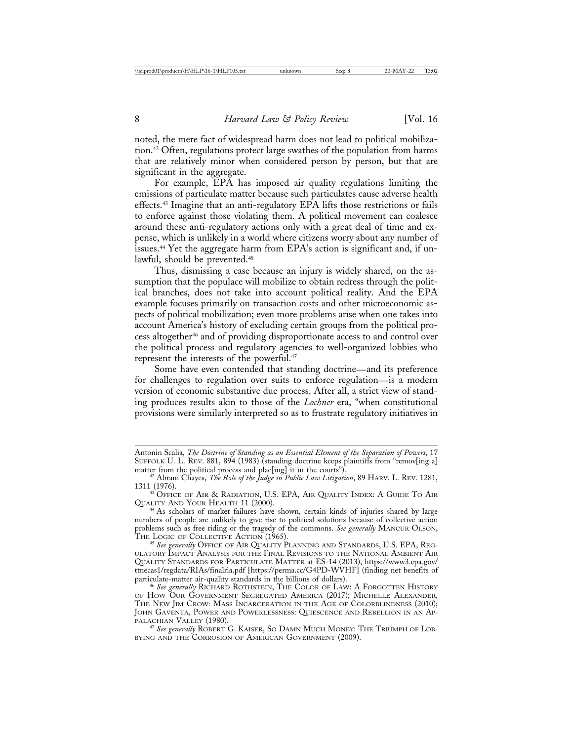noted, the mere fact of widespread harm does not lead to political mobilization.42 Often, regulations protect large swathes of the population from harms that are relatively minor when considered person by person, but that are significant in the aggregate.

For example, EPA has imposed air quality regulations limiting the emissions of particulate matter because such particulates cause adverse health effects.43 Imagine that an anti-regulatory EPA lifts those restrictions or fails to enforce against those violating them. A political movement can coalesce around these anti-regulatory actions only with a great deal of time and expense, which is unlikely in a world where citizens worry about any number of issues.44 Yet the aggregate harm from EPA's action is significant and, if unlawful, should be prevented.45

Thus, dismissing a case because an injury is widely shared, on the assumption that the populace will mobilize to obtain redress through the political branches, does not take into account political reality. And the EPA example focuses primarily on transaction costs and other microeconomic aspects of political mobilization; even more problems arise when one takes into account America's history of excluding certain groups from the political process altogether46 and of providing disproportionate access to and control over the political process and regulatory agencies to well-organized lobbies who represent the interests of the powerful.<sup>47</sup>

Some have even contended that standing doctrine—and its preference for challenges to regulation over suits to enforce regulation—is a modern version of economic substantive due process. After all, a strict view of standing produces results akin to those of the *Lochner* era, "when constitutional provisions were similarly interpreted so as to frustrate regulatory initiatives in

Antonin Scalia, *The Doctrine of Standing as an Essential Element of the Separation of Powers*, 17 SUFFOLK U. L. REV. 881, 894 (1983) (standing doctrine keeps plaintiffs from "remov[ing a] matter from the political process and plac[ing] it in the courts").

<sup>&</sup>lt;sup>42</sup> Abram Chayes, *The Role of the Judge in Public Law Litigation*, 89 HARV. L. REV. 1281, 1311 (1976).

 $^{43}$  Office of Air & Radiation, U.S. EPA, Air Quality Index: A Guide To Air Quality And Your Health 11 (2000).

<sup>&</sup>lt;sup>44</sup> As scholars of market failures have shown, certain kinds of injuries shared by large numbers of people are unlikely to give rise to political solutions because of collective action problems such as free riding or the tragedy of the commons. *See generally* MANCUR OLSON,

<sup>&</sup>lt;sup>15</sup> See generally OFFICE OF AIR QUALITY PLANNING AND STANDARDS, U.S. EPA, REG-ULATORY IMPACT ANALYSIS FOR THE FINAL REVISIONS TO THE NATIONAL AMBIENT AIR QUALITY STANDARDS FOR PARTICULATE MATTER at ES-14 (2013), https://www3.epa.gov/ ttnecas1/regdata/RIAs/finalria.pdf [https://perma.cc/G4PD-WVHF] (finding net benefits of particulate-matter air-quality standards in the billions of dollars). <sup>46</sup> *See generally* RICHARD ROTHSTEIN, THE COLOR OF LAW: A FORGOTTEN HISTORY

OF HOW OUR GOVERNMENT SEGREGATED AMERICA (2017); MICHELLE ALEXANDER, THE NEW JIM CROW: MASS INCARCERATION IN THE AGE OF COLORBLINDNESS (2010); JOHN GAVENTA, POWER AND POWERLESSNESS: QUIESCENCE AND REBELLION IN AN APPALACHIAN VALLEY (1980).

<sup>&</sup>lt;sup>47</sup> See generally ROBERT G. KAISER, SO DAMN MUCH MONEY: THE TRIUMPH OF LOB-BYING AND THE CORROSION OF AMERICAN GOVERNMENT (2009).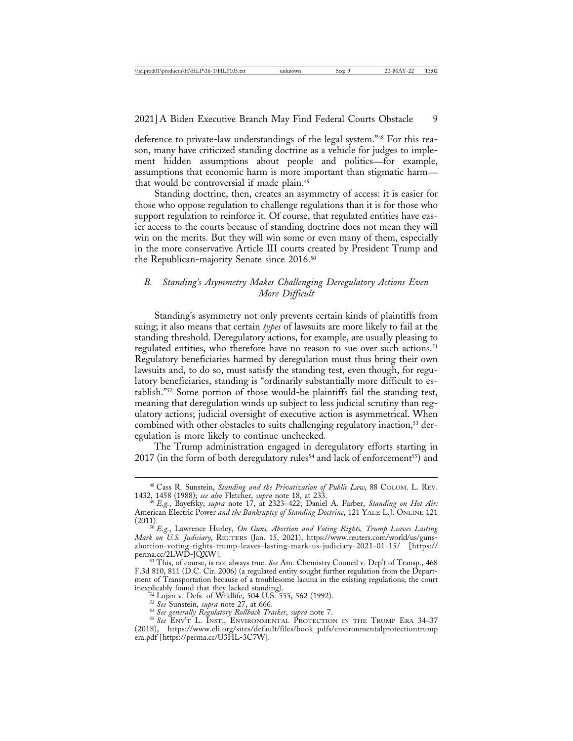deference to private-law understandings of the legal system."48 For this reason, many have criticized standing doctrine as a vehicle for judges to implement hidden assumptions about people and politics—for example, assumptions that economic harm is more important than stigmatic harm that would be controversial if made plain.49

Standing doctrine, then, creates an asymmetry of access: it is easier for those who oppose regulation to challenge regulations than it is for those who support regulation to reinforce it. Of course, that regulated entities have easier access to the courts because of standing doctrine does not mean they will win on the merits. But they will win some or even many of them, especially in the more conservative Article III courts created by President Trump and the Republican-majority Senate since 2016.50

# *B. Standing's Asymmetry Makes Challenging Deregulatory Actions Even More Difficult*

Standing's asymmetry not only prevents certain kinds of plaintiffs from suing; it also means that certain *types* of lawsuits are more likely to fail at the standing threshold. Deregulatory actions, for example, are usually pleasing to regulated entities, who therefore have no reason to sue over such actions.<sup>51</sup> Regulatory beneficiaries harmed by deregulation must thus bring their own lawsuits and, to do so, must satisfy the standing test, even though, for regulatory beneficiaries, standing is "ordinarily substantially more difficult to establish."52 Some portion of those would-be plaintiffs fail the standing test, meaning that deregulation winds up subject to less judicial scrutiny than regulatory actions; judicial oversight of executive action is asymmetrical. When combined with other obstacles to suits challenging regulatory inaction,<sup>53</sup> deregulation is more likely to continue unchecked.

The Trump administration engaged in deregulatory efforts starting in 2017 (in the form of both deregulatory rules<sup>54</sup> and lack of enforcement<sup>55</sup>) and

<sup>&</sup>lt;sup>48</sup> Cass R. Sunstein, *Standing and the Privatization of Public Law*, 88 COLUM. L. REV. 1432, 1458 (1988); see also Fletcher, supra note 18, at 233.

<sup>1432, 1458 (1988);</sup> *see also* Fletcher, *supra* note 18, at 233. <sup>49</sup> *E.g.*, Bayefsky, *supra* note 17, at 2323–422; Daniel A. Farber, *Standing on Hot Air:* American Electric Power *and the Bankruptcy of Standing Doctrine*, 121 YALE L.J. ONLINE 121 (2011). <sup>50</sup> *E.g.*, Lawrence Hurley, *On Guns, Abortion and Voting Rights, Trump Leaves Lasting*

*Mark on U.S. Judiciary*, REUTERS (Jan. 15, 2021), https://www.reuters.com/world/us/gunsabortion-voting-rights-trump-leaves-lasting-mark-us-judiciary-2021-01-15/ [https://

<sup>&</sup>lt;sup>51</sup> This, of course, is not always true. *See* Am. Chemistry Council v. Dep't of Transp., 468 F.3d 810, 811 (D.C. Cir. 2006) (a regulated entity sought further regulation from the Department of Transportation because of a troublesome lacuna in the existing regulations; the court

Sales Lujan v. Defs. of Wildlife, 504 U.S. 555, 562 (1992).<br>
<sup>53</sup> Lujan v. Defs. of Wildlife, 504 U.S. 555, 562 (1992).<br>
<sup>53</sup> See Sunstein, *supra* note 27, at 666.<br>
<sup>54</sup> See generally Regulatory Rollback Tracker, supra no (2018), https://www.eli.org/sites/default/files/book\_pdfs/environmentalprotectiontrump era.pdf [https://perma.cc/U3HL-3C7W].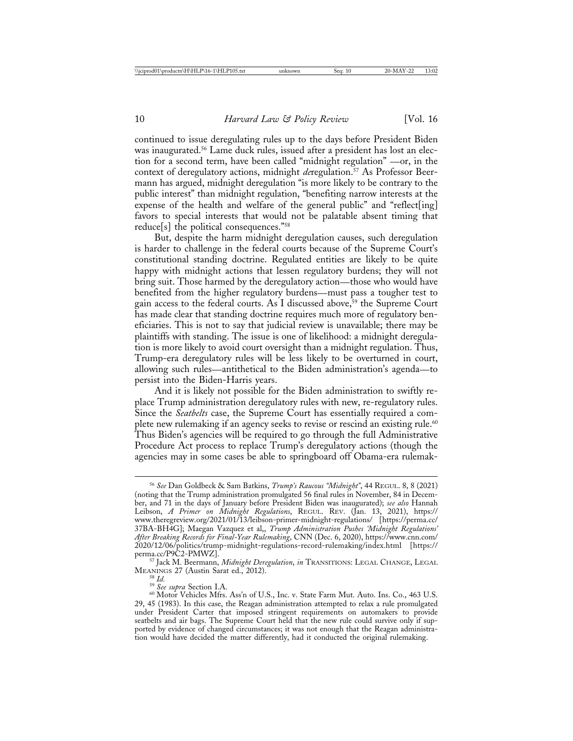continued to issue deregulating rules up to the days before President Biden was inaugurated.<sup>56</sup> Lame duck rules, issued after a president has lost an election for a second term, have been called "midnight regulation" —or, in the context of deregulatory actions, midnight *de*regulation.<sup>57</sup> As Professor Beermann has argued, midnight deregulation "is more likely to be contrary to the public interest" than midnight regulation, "benefiting narrow interests at the expense of the health and welfare of the general public" and "reflect[ing] favors to special interests that would not be palatable absent timing that reduce[s] the political consequences."58

But, despite the harm midnight deregulation causes, such deregulation is harder to challenge in the federal courts because of the Supreme Court's constitutional standing doctrine. Regulated entities are likely to be quite happy with midnight actions that lessen regulatory burdens; they will not bring suit. Those harmed by the deregulatory action—those who would have benefited from the higher regulatory burdens—must pass a tougher test to gain access to the federal courts. As I discussed above,<sup>59</sup> the Supreme Court has made clear that standing doctrine requires much more of regulatory beneficiaries. This is not to say that judicial review is unavailable; there may be plaintiffs with standing. The issue is one of likelihood: a midnight deregulation is more likely to avoid court oversight than a midnight regulation. Thus, Trump-era deregulatory rules will be less likely to be overturned in court, allowing such rules—antithetical to the Biden administration's agenda—to persist into the Biden-Harris years.

And it is likely not possible for the Biden administration to swiftly replace Trump administration deregulatory rules with new, re-regulatory rules. Since the *Seatbelts* case, the Supreme Court has essentially required a complete new rulemaking if an agency seeks to revise or rescind an existing rule.<sup>60</sup> Thus Biden's agencies will be required to go through the full Administrative Procedure Act process to replace Trump's deregulatory actions (though the agencies may in some cases be able to springboard off Obama-era rulemak-

<sup>56</sup> *See* Dan Goldbeck & Sam Batkins, *Trump's Raucous "Midnight"*, 44 REGUL. 8, 8 (2021) (noting that the Trump administration promulgated 56 final rules in November, 84 in December, and 71 in the days of January before President Biden was inaugurated); *see also* Hannah Leibson, *A Primer on Midnight Regulations*, REGUL. REV. (Jan. 13, 2021), https:// www.theregreview.org/2021/01/13/leibson-primer-midnight-regulations/ [https://perma.cc/ 37BA-BH4G]; Maegan Vazquez et al,, *Trump Administration Pushes 'Midnight Regulations' After Breaking Records for Final-Year Rulemaking*, CNN (Dec. 6, 2020), https://www.cnn.com/ 2020/12/06/politics/trump-midnight-regulations-record-rulemaking/index.html [https://

<sup>&</sup>lt;sup>57</sup> Jack M. Beermann, *Midnight Deregulation*, *in* TRANSITIONS: LEGAL CHANGE, LEGAL MEANINGS 27 (Austin Sarat ed., 2012).

<sup>&</sup>lt;sup>58</sup> Id.<br><sup>59</sup> See supra Section I.A.<br><sup>60</sup> Motor Vehicles Mfrs. Ass'n of U.S., Inc. v. State Farm Mut. Auto. Ins. Co., 463 U.S. 29, 45 (1983). In this case, the Reagan administration attempted to relax a rule promulgated under President Carter that imposed stringent requirements on automakers to provide seatbelts and air bags. The Supreme Court held that the new rule could survive only if supported by evidence of changed circumstances; it was not enough that the Reagan administration would have decided the matter differently, had it conducted the original rulemaking.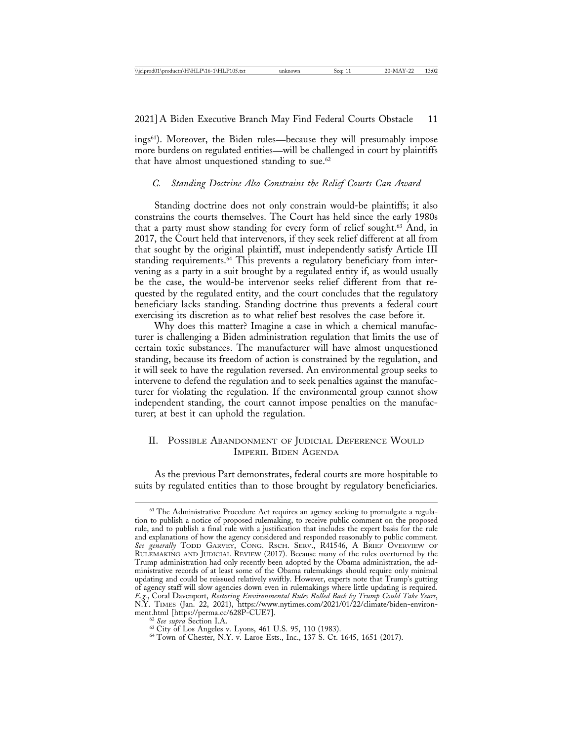ings61). Moreover, the Biden rules—because they will presumably impose more burdens on regulated entities—will be challenged in court by plaintiffs that have almost unquestioned standing to sue. $62$ 

#### *C. Standing Doctrine Also Constrains the Relief Courts Can Award*

Standing doctrine does not only constrain would-be plaintiffs; it also constrains the courts themselves. The Court has held since the early 1980s that a party must show standing for every form of relief sought.<sup>63</sup> And, in 2017, the Court held that intervenors, if they seek relief different at all from that sought by the original plaintiff, must independently satisfy Article III standing requirements.<sup>64</sup> This prevents a regulatory beneficiary from intervening as a party in a suit brought by a regulated entity if, as would usually be the case, the would-be intervenor seeks relief different from that requested by the regulated entity, and the court concludes that the regulatory beneficiary lacks standing. Standing doctrine thus prevents a federal court exercising its discretion as to what relief best resolves the case before it.

Why does this matter? Imagine a case in which a chemical manufacturer is challenging a Biden administration regulation that limits the use of certain toxic substances. The manufacturer will have almost unquestioned standing, because its freedom of action is constrained by the regulation, and it will seek to have the regulation reversed. An environmental group seeks to intervene to defend the regulation and to seek penalties against the manufacturer for violating the regulation. If the environmental group cannot show independent standing, the court cannot impose penalties on the manufacturer; at best it can uphold the regulation.

## II. POSSIBLE ABANDONMENT OF JUDICIAL DEFERENCE WOULD IMPERIL BIDEN AGENDA

As the previous Part demonstrates, federal courts are more hospitable to suits by regulated entities than to those brought by regulatory beneficiaries.

<sup>&</sup>lt;sup>61</sup> The Administrative Procedure Act requires an agency seeking to promulgate a regulation to publish a notice of proposed rulemaking, to receive public comment on the proposed rule, and to publish a final rule with a justification that includes the expert basis for the rule and explanations of how the agency considered and responded reasonably to public comment. *See generally* TODD GARVEY, CONG. RSCH. SERV., R41546, A BRIEF OVERVIEW OF RULEMAKING AND JUDICIAL REVIEW (2017). Because many of the rules overturned by the Trump administration had only recently been adopted by the Obama administration, the administrative records of at least some of the Obama rulemakings should require only minimal updating and could be reissued relatively swiftly. However, experts note that Trump's gutting of agency staff will slow agencies down even in rulemakings where little updating is required. *E.g.*, Coral Davenport, *Restoring Environmental Rules Rolled Back by Trump Could Take Years*, N.Y. TIMES (Jan. 22, 2021), https://www.nytimes.com/2021/01/22/climate/biden-environ-

<sup>&</sup>lt;sup>62</sup> See supra Section I.A. 63 City of Los Angeles v. Lyons, 461 U.S. 95, 110 (1983). 64 Town of Chester, N.Y. v. Laroe Ests., Inc., 137 S. Ct. 1645, 1651 (2017).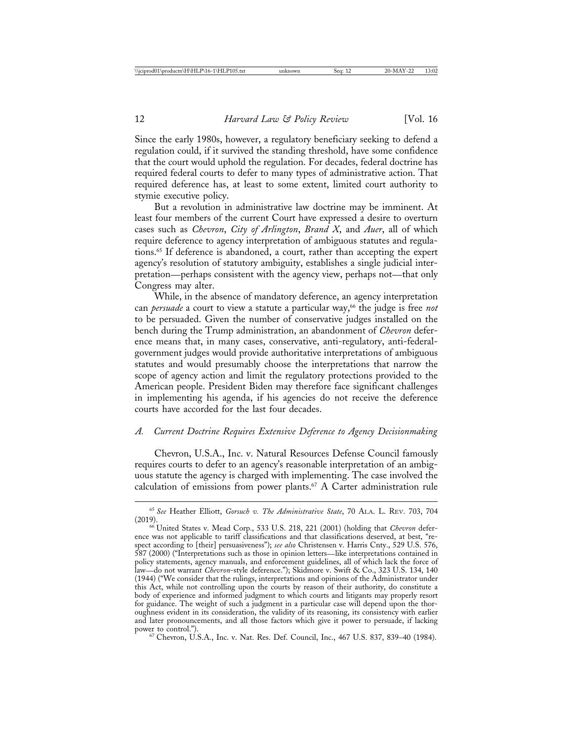Since the early 1980s, however, a regulatory beneficiary seeking to defend a regulation could, if it survived the standing threshold, have some confidence that the court would uphold the regulation. For decades, federal doctrine has required federal courts to defer to many types of administrative action. That required deference has, at least to some extent, limited court authority to stymie executive policy.

But a revolution in administrative law doctrine may be imminent. At least four members of the current Court have expressed a desire to overturn cases such as *Chevron*, *City of Arlington*, *Brand X*, and *Auer*, all of which require deference to agency interpretation of ambiguous statutes and regulations.65 If deference is abandoned, a court, rather than accepting the expert agency's resolution of statutory ambiguity, establishes a single judicial interpretation—perhaps consistent with the agency view, perhaps not—that only Congress may alter.

While, in the absence of mandatory deference, an agency interpretation can *persuade* a court to view a statute a particular way,<sup>66</sup> the judge is free *not* to be persuaded. Given the number of conservative judges installed on the bench during the Trump administration, an abandonment of *Chevron* deference means that, in many cases, conservative, anti-regulatory, anti-federalgovernment judges would provide authoritative interpretations of ambiguous statutes and would presumably choose the interpretations that narrow the scope of agency action and limit the regulatory protections provided to the American people. President Biden may therefore face significant challenges in implementing his agenda, if his agencies do not receive the deference courts have accorded for the last four decades.

### *A. Current Doctrine Requires Extensive Deference to Agency Decisionmaking*

Chevron, U.S.A., Inc. v. Natural Resources Defense Council famously requires courts to defer to an agency's reasonable interpretation of an ambiguous statute the agency is charged with implementing. The case involved the calculation of emissions from power plants.<sup>67</sup> A Carter administration rule

<sup>65</sup> *See* Heather Elliott, *Gorsuch v. The Administrative State*, 70 ALA. L. REV. 703, 704

<sup>&</sup>lt;sup>66</sup> United States v. Mead Corp., 533 U.S. 218, 221 (2001) (holding that *Chevron* deference was not applicable to tariff classifications and that classifications deserved, at best, "respect according to [their] persuasiveness"); *see also* Christensen v. Harris Cnty., 529 U.S. 576, 587 (2000) ("Interpretations such as those in opinion letters—like interpretations contained in policy statements, agency manuals, and enforcement guidelines, all of which lack the force of law—do not warrant *Chevron*-style deference."); Skidmore v. Swift & Co., 323 U.S. 134, 140 (1944) ("We consider that the rulings, interpretations and opinions of the Administrator under this Act, while not controlling upon the courts by reason of their authority, do constitute a body of experience and informed judgment to which courts and litigants may properly resort for guidance. The weight of such a judgment in a particular case will depend upon the thoroughness evident in its consideration, the validity of its reasoning, its consistency with earlier and later pronouncements, and all those factors which give it power to persuade, if lacking power to control.").

<sup>67</sup> Chevron, U.S.A., Inc. v. Nat. Res. Def. Council, Inc., 467 U.S. 837, 839–40 (1984).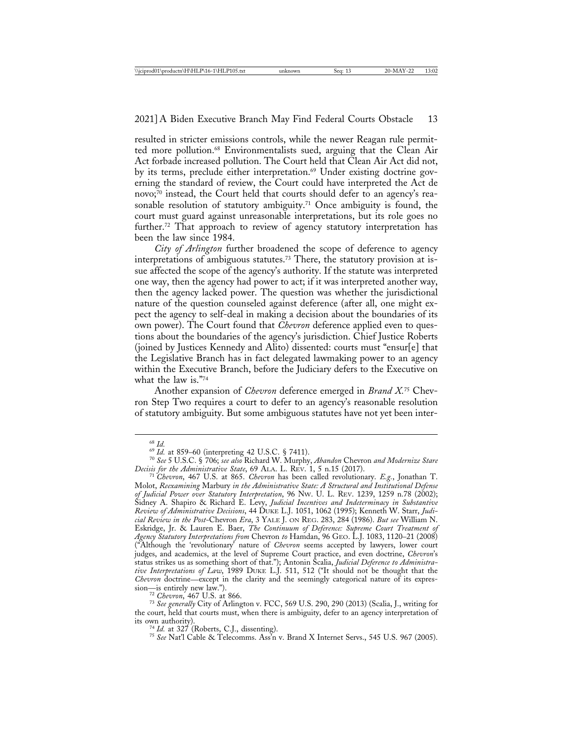resulted in stricter emissions controls, while the newer Reagan rule permitted more pollution.68 Environmentalists sued, arguing that the Clean Air Act forbade increased pollution. The Court held that Clean Air Act did not, by its terms, preclude either interpretation.<sup>69</sup> Under existing doctrine governing the standard of review, the Court could have interpreted the Act de novo; $\bar{70}$  instead, the Court held that courts should defer to an agency's reasonable resolution of statutory ambiguity.<sup>71</sup> Once ambiguity is found, the court must guard against unreasonable interpretations, but its role goes no further.<sup>72</sup> That approach to review of agency statutory interpretation has been the law since 1984.

*City of Arlington* further broadened the scope of deference to agency interpretations of ambiguous statutes.73 There, the statutory provision at issue affected the scope of the agency's authority. If the statute was interpreted one way, then the agency had power to act; if it was interpreted another way, then the agency lacked power. The question was whether the jurisdictional nature of the question counseled against deference (after all, one might expect the agency to self-deal in making a decision about the boundaries of its own power). The Court found that *Chevron* deference applied even to questions about the boundaries of the agency's jurisdiction. Chief Justice Roberts (joined by Justices Kennedy and Alito) dissented: courts must "ensur[e] that the Legislative Branch has in fact delegated lawmaking power to an agency within the Executive Branch, before the Judiciary defers to the Executive on what the law is."74

Another expansion of *Chevron* deference emerged in *Brand X.*75 Chevron Step Two requires a court to defer to an agency's reasonable resolution of statutory ambiguity. But some ambiguous statutes have not yet been inter-

sion—is entirely new law."). <sup>72</sup> *Chevron*, 467 U.S. at 866. <sup>73</sup> *See generally* City of Arlington v. FCC, 569 U.S. 290, 290 (2013) (Scalia, J., writing for the court, held that courts must, when there is ambiguity, defer to an agency interpretation of<br>its own authority).<br> $^{74}$  Id. at 327 (Roberts, C.J., dissenting).

<sup>75</sup> See Nat'l Cable & Telecomms. Ass'n v. Brand X Internet Servs., 545 U.S. 967 (2005).

<sup>68</sup> *Id.* <sup>69</sup> *Id.* at 859–60 (interpreting 42 U.S.C. § 7411). <sup>70</sup> *See* 5 U.S.C. § 706; *see also* Richard W. Murphy, *Abandon* Chevron *and Modernize Stare*

*Decisis for the Administrative State*, 69 ALA. L. REV. 1, 5 n.15 (2017). <sup>71</sup> *Chevron*, 467 U.S. at 865. *Chevron* has been called revolutionary. *E.g.*, Jonathan T. Molot, *Reexamining* Marbury *in the Administrative State: A Structural and Institutional Defense of Judicial Power over Statutory Interpretation*, 96 NW. U. L. REV. 1239, 1259 n.78 (2002); Sidney A. Shapiro & Richard E. Levy, *Judicial Incentives and Indeterminacy in Substantive Review of Administrative Decisions*, 44 DUKE L.J. 1051, 1062 (1995); Kenneth W. Starr, *Judicial Review in the Post-*Chevron *Era*, 3 YALE J. ON REG. 283, 284 (1986). *But see* William N. Eskridge, Jr. & Lauren E. Baer, *The Continuum of Deference: Supreme Court Treatment of Agency Statutory Interpretations from* Chevron *to* Hamdan, 96 GEO. L.J. 1083, 1120–21 (2008) ("Although the 'revolutionary' nature of *Chevron* seems accepted by lawyers, lower court judges, and academics, at the level of Supreme Court practice, and even doctrine, *Chevron*'s status strikes us as something short of that."); Antonin Scalia, *Judicial Deference to Administrative Interpretations of Law*, 1989 DUKE L.J. 511, 512 ("It should not be thought that the *Chevron* doctrine—except in the clarity and the seemingly categorical nature of its expres-<br>sion—is entirely new law.").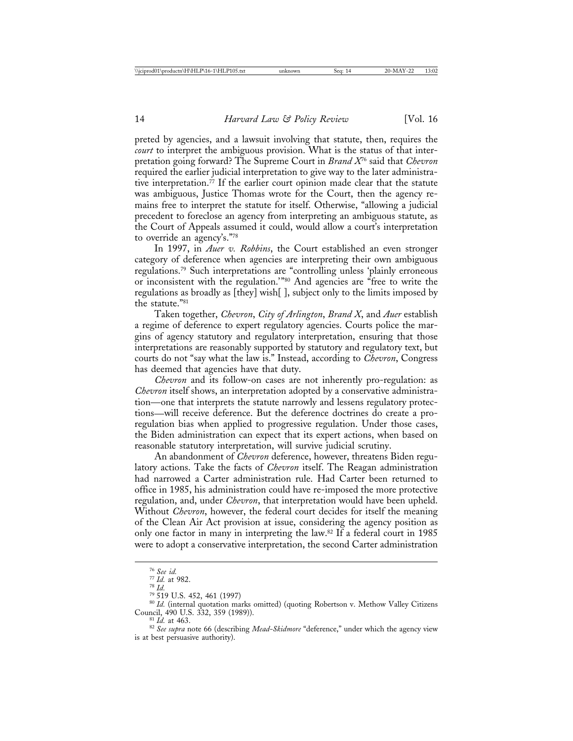preted by agencies, and a lawsuit involving that statute, then, requires the *court* to interpret the ambiguous provision. What is the status of that interpretation going forward? The Supreme Court in *Brand X*76 said that *Chevron* required the earlier judicial interpretation to give way to the later administrative interpretation.77 If the earlier court opinion made clear that the statute was ambiguous, Justice Thomas wrote for the Court, then the agency remains free to interpret the statute for itself. Otherwise, "allowing a judicial precedent to foreclose an agency from interpreting an ambiguous statute, as the Court of Appeals assumed it could, would allow a court's interpretation to override an agency's."78

In 1997, in *Auer v. Robbins*, the Court established an even stronger category of deference when agencies are interpreting their own ambiguous regulations.79 Such interpretations are "controlling unless 'plainly erroneous or inconsistent with the regulation.'"80 And agencies are "free to write the regulations as broadly as [they] wish[ ], subject only to the limits imposed by the statute."81

Taken together, *Chevron*, *City of Arlington*, *Brand X*, and *Auer* establish a regime of deference to expert regulatory agencies. Courts police the margins of agency statutory and regulatory interpretation, ensuring that those interpretations are reasonably supported by statutory and regulatory text, but courts do not "say what the law is." Instead, according to *Chevron*, Congress has deemed that agencies have that duty.

*Chevron* and its follow-on cases are not inherently pro-regulation: as *Chevron* itself shows, an interpretation adopted by a conservative administration—one that interprets the statute narrowly and lessens regulatory protections—will receive deference. But the deference doctrines do create a proregulation bias when applied to progressive regulation. Under those cases, the Biden administration can expect that its expert actions, when based on reasonable statutory interpretation, will survive judicial scrutiny.

An abandonment of *Chevron* deference, however, threatens Biden regulatory actions. Take the facts of *Chevron* itself. The Reagan administration had narrowed a Carter administration rule. Had Carter been returned to office in 1985, his administration could have re-imposed the more protective regulation, and, under *Chevron*, that interpretation would have been upheld. Without *Chevron*, however, the federal court decides for itself the meaning of the Clean Air Act provision at issue, considering the agency position as only one factor in many in interpreting the law.82 If a federal court in 1985 were to adopt a conservative interpretation, the second Carter administration

<sup>&</sup>lt;sup>76</sup> *See id.*<br><sup>77</sup> *Id.* at 982.<br><sup>78</sup> 519 U.S. 452, 461 (1997)<br><sup>80</sup> *Id.* (internal quotation marks omitted) (quoting Robertson v. Methow Valley Citizens<br>Council, 490 U.S. 332, 359 (1989)).<br><sup>81</sup> *Id.* at 463.

<sup>&</sup>lt;sup>82</sup> See supra note 66 (describing *Mead-Skidmore* "deference," under which the agency view is at best persuasive authority).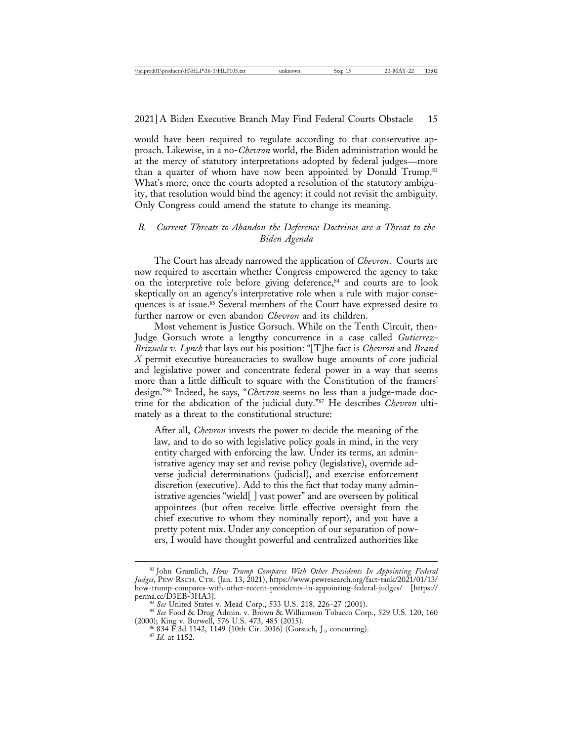would have been required to regulate according to that conservative approach. Likewise, in a no-*Chevron* world, the Biden administration would be at the mercy of statutory interpretations adopted by federal judges—more than a quarter of whom have now been appointed by Donald Trump.<sup>83</sup> What's more, once the courts adopted a resolution of the statutory ambiguity, that resolution would bind the agency: it could not revisit the ambiguity. Only Congress could amend the statute to change its meaning.

# *B. Current Threats to Abandon the Deference Doctrines are a Threat to the Biden Agenda*

The Court has already narrowed the application of *Chevron*. Courts are now required to ascertain whether Congress empowered the agency to take on the interpretive role before giving deference,<sup>84</sup> and courts are to look skeptically on an agency's interpretative role when a rule with major consequences is at issue.<sup>85</sup> Several members of the Court have expressed desire to further narrow or even abandon *Chevron* and its children.

Most vehement is Justice Gorsuch. While on the Tenth Circuit, then-Judge Gorsuch wrote a lengthy concurrence in a case called *Gutierrez-Brizuela v. Lynch* that lays out his position: "[T]he fact is *Chevron* and *Brand X* permit executive bureaucracies to swallow huge amounts of core judicial and legislative power and concentrate federal power in a way that seems more than a little difficult to square with the Constitution of the framers' design."86 Indeed, he says, "*Chevron* seems no less than a judge-made doctrine for the abdication of the judicial duty."87 He describes *Chevron* ultimately as a threat to the constitutional structure:

After all, *Chevron* invests the power to decide the meaning of the law, and to do so with legislative policy goals in mind, in the very entity charged with enforcing the law. Under its terms, an administrative agency may set and revise policy (legislative), override adverse judicial determinations (judicial), and exercise enforcement discretion (executive). Add to this the fact that today many administrative agencies "wield[ ] vast power" and are overseen by political appointees (but often receive little effective oversight from the chief executive to whom they nominally report), and you have a pretty potent mix. Under any conception of our separation of powers, I would have thought powerful and centralized authorities like

<sup>83</sup> John Gramlich, *How Trump Compares With Other Presidents In Appointing Federal Judges*, PEW RSCH. CTR. (Jan. 13, 2021), https://www.pewresearch.org/fact-tank/2021/01/13/ how-trump-compares-with-other-recent-presidents-in-appointing-federal-judges/ [https:// perma.cc/D3EB-3HA3].<br><sup>84</sup> *See* United States v. Mead Corp., 533 U.S. 218, 226–27 (2001).

<sup>&</sup>lt;sup>85</sup> See Food & Drug Admin. v. Brown & Williamson Tobacco Corp., 529 U.S. 120, 160 (2000); King v. Burwell, 576 U.S. 473, 485 (2015). <sup>86</sup> 834 F.3d 1142, 1149 (10th Cir. 2016) (Gorsuch, J., concurring). <sup>87</sup> *Id.* at 1152.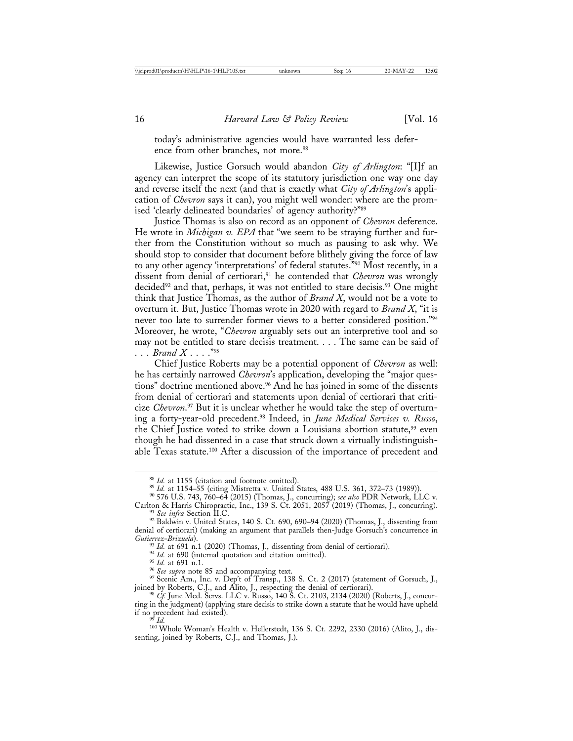today's administrative agencies would have warranted less deference from other branches, not more.<sup>88</sup>

Likewise, Justice Gorsuch would abandon *City of Arlington*: "[I]f an agency can interpret the scope of its statutory jurisdiction one way one day and reverse itself the next (and that is exactly what *City of Arlington*'s application of *Chevron* says it can), you might well wonder: where are the promised 'clearly delineated boundaries' of agency authority?"89

Justice Thomas is also on record as an opponent of *Chevron* deference. He wrote in *Michigan v. EPA* that "we seem to be straying further and further from the Constitution without so much as pausing to ask why. We should stop to consider that document before blithely giving the force of law to any other agency 'interpretations' of federal statutes."90 Most recently, in a dissent from denial of certiorari,<sup>91</sup> he contended that *Chevron* was wrongly decided<sup>92</sup> and that, perhaps, it was not entitled to stare decisis.<sup>93</sup> One might think that Justice Thomas, as the author of *Brand X*, would not be a vote to overturn it. But, Justice Thomas wrote in 2020 with regard to *Brand X*, "it is never too late to surrender former views to a better considered position."94 Moreover, he wrote, "*Chevron* arguably sets out an interpretive tool and so may not be entitled to stare decisis treatment. . . . The same can be said of . . . *Brand X* . . . ."95

Chief Justice Roberts may be a potential opponent of *Chevron* as well: he has certainly narrowed *Chevron*'s application, developing the "major questions" doctrine mentioned above.<sup>96</sup> And he has joined in some of the dissents from denial of certiorari and statements upon denial of certiorari that criticize *Chevron*. 97 But it is unclear whether he would take the step of overturning a forty-year-old precedent.98 Indeed, in *June Medical Services v. Russo*, the Chief Justice voted to strike down a Louisiana abortion statute,<sup>99</sup> even though he had dissented in a case that struck down a virtually indistinguishable Texas statute.<sup>100</sup> After a discussion of the importance of precedent and

<sup>93</sup> *Id.* at 691 n.1 (2020) (Thomas, J., dissenting from denial of certiorari).<br><sup>94</sup> *Id.* at 690 (internal quotation and citation omitted).<br><sup>95</sup> *Id.* at 691 n.1.<br><sup>96</sup> *See supra* note 85 and accompanying text.<br><sup>97</sup> Sce joined by Roberts, C.J., and Alito, J., respecting the denial of certiorari). <sup>98</sup> *Cf.* June Med. Servs. LLC v. Russo, 140 S. Ct. 2103, 2134 (2020) (Roberts, J., concur-

ring in the judgment) (applying stare decisis to strike down a statute that he would have upheld if no precedent had existed).<br><sup>99</sup> Id.

<sup>100</sup> Whole Woman's Health v. Hellerstedt, 136 S. Ct. 2292, 2330 (2016) (Alito, J., dissenting, joined by Roberts, C.J., and Thomas, J.).

<sup>&</sup>lt;sup>88</sup> *Id.* at 1155 (citation and footnote omitted).<br><sup>89</sup> *Id.* at 1154–55 (citing Mistretta v. United States, 488 U.S. 361, 372–73 (1989)).<br><sup>90</sup> 576 U.S. 743, 760–64 (2015) (Thomas, J., concurring); *see also* PDR Network

<sup>&</sup>lt;sup>91</sup> See infra Section II.C.<br><sup>92</sup> Baldwin v. United States, 140 S. Ct. 690, 690–94 (2020) (Thomas, J., dissenting from denial of certiorari) (making an argument that parallels then-Judge Gorsuch's concurrence in Gutierrez-Brizuela).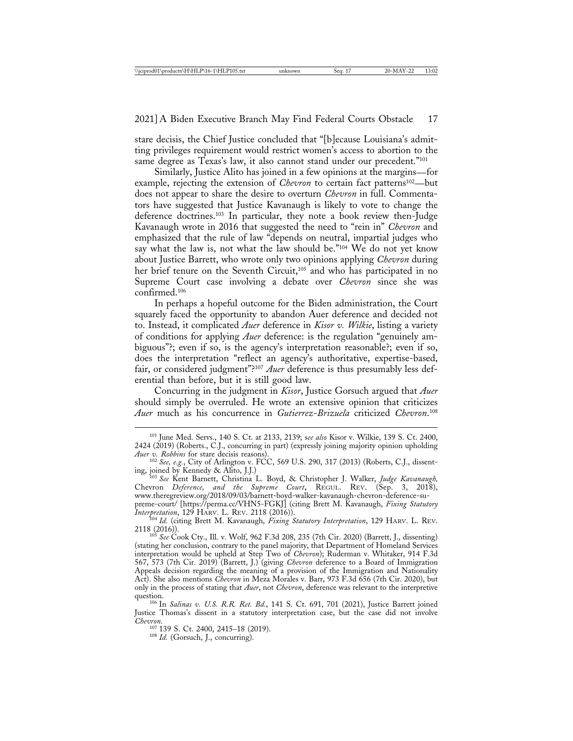stare decisis, the Chief Justice concluded that "[b]ecause Louisiana's admitting privileges requirement would restrict women's access to abortion to the same degree as Texas's law, it also cannot stand under our precedent."<sup>101</sup>

Similarly, Justice Alito has joined in a few opinions at the margins—for example, rejecting the extension of *Chevron* to certain fact patterns<sup>102</sup>—but does not appear to share the desire to overturn *Chevron* in full. Commentators have suggested that Justice Kavanaugh is likely to vote to change the deference doctrines.103 In particular, they note a book review then-Judge Kavanaugh wrote in 2016 that suggested the need to "rein in" *Chevron* and emphasized that the rule of law "depends on neutral, impartial judges who say what the law is, not what the law should be."104 We do not yet know about Justice Barrett, who wrote only two opinions applying *Chevron* during her brief tenure on the Seventh Circuit,<sup>105</sup> and who has participated in no Supreme Court case involving a debate over *Chevron* since she was confirmed.106

In perhaps a hopeful outcome for the Biden administration, the Court squarely faced the opportunity to abandon Auer deference and decided not to. Instead, it complicated *Auer* deference in *Kisor v. Wilkie*, listing a variety of conditions for applying *Auer* deference: is the regulation "genuinely ambiguous"?; even if so, is the agency's interpretation reasonable?; even if so, does the interpretation "reflect an agency's authoritative, expertise-based, fair, or considered judgment"?107 *Auer* deference is thus presumably less deferential than before, but it is still good law.

Concurring in the judgment in *Kisor*, Justice Gorsuch argued that *Auer* should simply be overruled. He wrote an extensive opinion that criticizes *Auer* much as his concurrence in *Gutierrez-Brizuela* criticized *Chevron*. 108

*Interpretation*, 129 HARV. L. REV. 2118 (2016)). <sup>104</sup> *Id.* (citing Brett M. Kavanaugh, *Fixing Statutory Interpretation*, 129 HARV. L. REV. 2118 (2016)). <sup>105</sup> *See* Cook Cty., Ill. v. Wolf, 962 F.3d 208, 235 (7th Cir. 2020) (Barrett, J., dissenting)

<sup>101</sup> June Med. Servs., 140 S. Ct. at 2133, 2139; s*ee also* Kisor v. Wilkie, 139 S. Ct. 2400, 2424 (2019) (Roberts., C.J., concurring in part) (expressly joining majority opinion upholding

*Auer v. Robbins* for stare decisis reasons). <sup>102</sup> *See, e.g.*, City of Arlington v. FCC, 569 U.S. 290, 317 (2013) (Roberts, C.J., dissenting, joined by Kennedy & Alito, J.J.) ing, joined by Kennedy & Alito, J.J.) <sup>103</sup> *See* Kent Barnett, Christina L. Boyd, & Christopher J. Walker, *Judge Kavanaugh,*

Chevron *Deference, and the Supreme Court*, REGUL. REV. (Sep. 3, 2018), www.theregreview.org/2018/09/03/barnett-boyd-walker-kavanaugh-chevron-deference-supreme-court/ [https://perma.cc/VHN5-FGKJ] (citing Brett M. Kavanaugh, *Fixing Statutory*

<sup>(</sup>stating her conclusion, contrary to the panel majority, that Department of Homeland Services interpretation would be upheld at Step Two of *Chevron*); Ruderman v. Whitaker, 914 F.3d 567, 573 (7th Cir. 2019) (Barrett, J.) (giving *Chevron* deference to a Board of Immigration Appeals decision regarding the meaning of a provision of the Immigration and Nationality Act). She also mentions *Chevron* in Meza Morales v. Barr, 973 F.3d 656 (7th Cir. 2020), but only in the process of stating that *Auer*, not *Chevron*, deference was relevant to the interpretive

<sup>&</sup>lt;sup>106</sup> In *Salinas v. U.S. R.R. Ret. Bd.*, 141 S. Ct. 691, 701 (2021), Justice Barrett joined Justice Thomas's dissent in a statutory interpretation case, but the case did not involve

*Chevron.* <sup>107</sup> 139 S. Ct. 2400, 2415–18 (2019). <sup>108</sup> *Id.* (Gorsuch, J., concurring).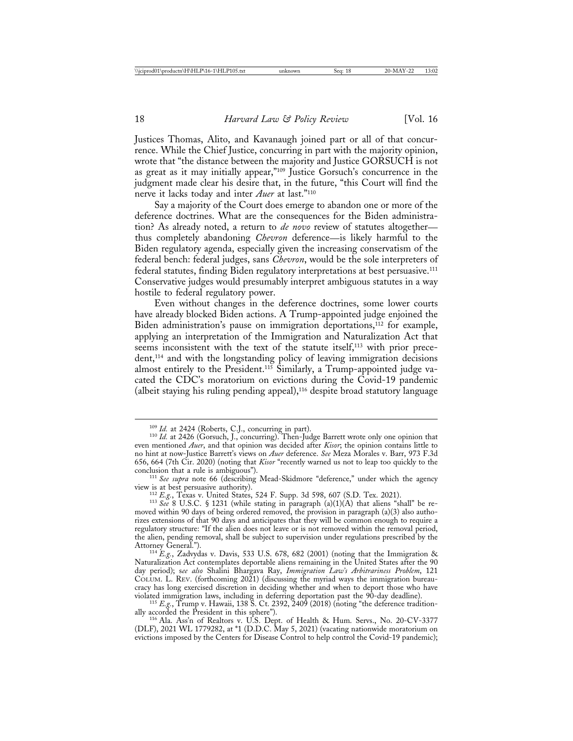Justices Thomas, Alito, and Kavanaugh joined part or all of that concurrence. While the Chief Justice, concurring in part with the majority opinion, wrote that "the distance between the majority and Justice GORSUCH is not as great as it may initially appear,"109 Justice Gorsuch's concurrence in the judgment made clear his desire that, in the future, "this Court will find the nerve it lacks today and inter *Auer* at last."110

Say a majority of the Court does emerge to abandon one or more of the deference doctrines. What are the consequences for the Biden administration? As already noted, a return to *de novo* review of statutes altogether thus completely abandoning *Chevron* deference—is likely harmful to the Biden regulatory agenda, especially given the increasing conservatism of the federal bench: federal judges, sans *Chevron*, would be the sole interpreters of federal statutes, finding Biden regulatory interpretations at best persuasive.111 Conservative judges would presumably interpret ambiguous statutes in a way hostile to federal regulatory power.

Even without changes in the deference doctrines, some lower courts have already blocked Biden actions. A Trump-appointed judge enjoined the Biden administration's pause on immigration deportations,<sup>112</sup> for example, applying an interpretation of the Immigration and Naturalization Act that seems inconsistent with the text of the statute itself,<sup>113</sup> with prior precedent,114 and with the longstanding policy of leaving immigration decisions almost entirely to the President.<sup>115</sup> Similarly, a Trump-appointed judge vacated the CDC's moratorium on evictions during the Covid-19 pandemic (albeit staying his ruling pending appeal),116 despite broad statutory language

<sup>&</sup>lt;sup>109</sup> *Id.* at 2424 (Roberts, C.J., concurring in part).<br><sup>110</sup> *Id.* at 2426 (Gorsuch, J., concurring). Then-Judge Barrett wrote only one opinion that even mentioned *Auer*, and that opinion was decided after *Kisor*; the opinion contains little to no hint at now-Justice Barrett's views on *Auer* deference. *See* Meza Morales v. Barr, 973 F.3d 656, 664 (7th Cir. 2020) (noting that *Kisor* "recently warned us not to leap too quickly to the

<sup>&</sup>lt;sup>111</sup> See supra note 66 (describing Mead-Skidmore "deference," under which the agency view is at best persuasive authority).

view is at best persuasive authority). <sup>112</sup> *E.g.*, Texas v. United States, 524 F. Supp. 3d 598, 607 (S.D. Tex. 2021). <sup>113</sup> *See* 8 U.S.C. § 1231 (while stating in paragraph (a)(1)(A) that aliens "shall" be removed within 90 days of being ordered removed, the provision in paragraph (a)(3) also authorizes extensions of that 90 days and anticipates that they will be common enough to require a regulatory structure: "If the alien does not leave or is not removed within the removal period, the alien, pending removal, shall be subject to supervision under regulations prescribed by the

<sup>&</sup>lt;sup>114</sup> *E.g.*, Zadvydas v. Davis, 533 U.S. 678, 682 (2001) (noting that the Immigration & Naturalization Act contemplates deportable aliens remaining in the United States after the 90 day period); s*ee also* Shalini Bhargava Ray, *Immigration Law's Arbitrariness Problem*, 121 COLUM. L. REV. (forthcoming 2021) (discussing the myriad ways the immigration bureaucracy has long exercised discretion in deciding whether and when to deport those who have

violated immigration laws, including in deferring deportation past the 90-day deadline).<br><sup>115</sup> *E.g.*, Trump v. Hawaii, 138 S. Ct. 2392, 2409 (2018) (noting "the deference tradition-<br>ally accorded the President in this sph

ally accorded the President in this sphere"). <sup>116</sup> Ala. Ass'n of Realtors v. U.S. Dept. of Health & Hum. Servs., No. 20-CV-3377 (DLF), 2021 WL 1779282, at \*1 (D.D.C. May 5, 2021) (vacating nationwide moratorium on evictions imposed by the Centers for Disease Control to help control the Covid-19 pandemic);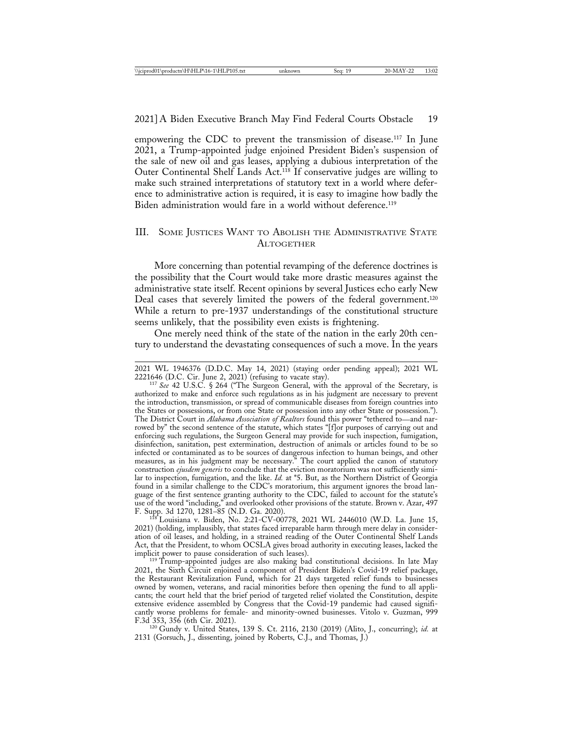empowering the CDC to prevent the transmission of disease.117 In June 2021, a Trump-appointed judge enjoined President Biden's suspension of the sale of new oil and gas leases, applying a dubious interpretation of the Outer Continental Shelf Lands Act.118 If conservative judges are willing to make such strained interpretations of statutory text in a world where deference to administrative action is required, it is easy to imagine how badly the Biden administration would fare in a world without deference.119

# III. SOME JUSTICES WANT TO ABOLISH THE ADMINISTRATIVE STATE **ALTOGETHER**

More concerning than potential revamping of the deference doctrines is the possibility that the Court would take more drastic measures against the administrative state itself. Recent opinions by several Justices echo early New Deal cases that severely limited the powers of the federal government.<sup>120</sup> While a return to pre-1937 understandings of the constitutional structure seems unlikely, that the possibility even exists is frightening.

One merely need think of the state of the nation in the early 20th century to understand the devastating consequences of such a move. In the years

2021 WL 1946376 (D.D.C. May 14, 2021) (staying order pending appeal); 2021 WL

<sup>117</sup> See 42 U.S.C. § 264 ("The Surgeon General, with the approval of the Secretary, is authorized to make and enforce such regulations as in his judgment are necessary to prevent the introduction, transmission, or spread of communicable diseases from foreign countries into the States or possessions, or from one State or possession into any other State or possession."). The District Court in *Alabama Association of Realtors* found this power "tethered to—and narrowed by" the second sentence of the statute, which states "[f]or purposes of carrying out and enforcing such regulations, the Surgeon General may provide for such inspection, fumigation, disinfection, sanitation, pest extermination, destruction of animals or articles found to be so infected or contaminated as to be sources of dangerous infection to human beings, and other measures, as in his judgment may be necessary." The court applied the canon of statutory construction *ejusdem generis* to conclude that the eviction moratorium was not sufficiently similar to inspection, fumigation, and the like. *Id.* at \*5. But, as the Northern District of Georgia found in a similar challenge to the CDC's moratorium, this argument ignores the broad language of the first sentence granting authority to the CDC, failed to account for the statute's use of the word "including," and overlooked other provisions of the statute. Brown v. Azar, 497 F. Supp. 3d 1270, 1281–85 (N.D. Ga. 2020). <sup>118</sup> Louisiana v. Biden, No. 2:21-CV-00778, 2021 WL 2446010 (W.D. La. June 15,

2021) (holding, implausibly, that states faced irreparable harm through mere delay in consideration of oil leases, and holding, in a strained reading of the Outer Continental Shelf Lands Act, that the President, to whom OCSLA gives broad authority in executing leases, lacked the

implicit power to pause consideration of such leases). <sup>119</sup> Trump-appointed judges are also making bad constitutional decisions. In late May 2021, the Sixth Circuit enjoined a component of President Biden's Covid-19 relief package, the Restaurant Revitalization Fund, which for 21 days targeted relief funds to businesses owned by women, veterans, and racial minorities before then opening the fund to all applicants; the court held that the brief period of targeted relief violated the Constitution, despite extensive evidence assembled by Congress that the Covid-19 pandemic had caused significantly worse problems for female- and minority-owned businesses. Vitolo v. Guzman, 999

<sup>120</sup> Gundy v. United States, 139 S. Ct. 2116, 2130 (2019) (Alito, J., concurring); *id.* at 2131 (Gorsuch, J., dissenting, joined by Roberts, C.J., and Thomas, J.)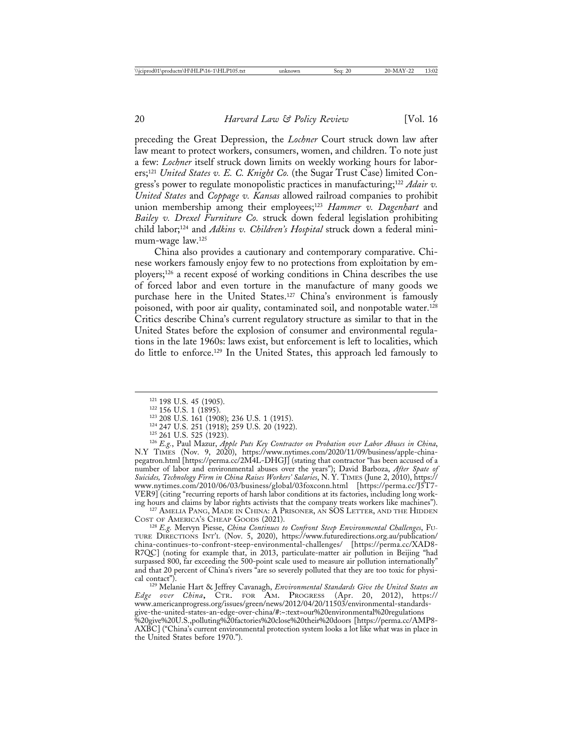preceding the Great Depression, the *Lochner* Court struck down law after law meant to protect workers, consumers, women, and children. To note just a few: *Lochner* itself struck down limits on weekly working hours for laborers;121 *United States v. E. C. Knight Co.* (the Sugar Trust Case) limited Congress's power to regulate monopolistic practices in manufacturing;122 *Adair v. United States* and *Coppage v. Kansas* allowed railroad companies to prohibit union membership among their employees;<sup>123</sup> *Hammer v. Dagenhart* and *Bailey v. Drexel Furniture Co.* struck down federal legislation prohibiting child labor;124 and *Adkins v. Children's Hospital* struck down a federal minimum-wage law.125

China also provides a cautionary and contemporary comparative. Chinese workers famously enjoy few to no protections from exploitation by employers;<sup>126</sup> a recent exposé of working conditions in China describes the use of forced labor and even torture in the manufacture of many goods we purchase here in the United States.<sup>127</sup> China's environment is famously poisoned, with poor air quality, contaminated soil, and nonpotable water.128 Critics describe China's current regulatory structure as similar to that in the United States before the explosion of consumer and environmental regulations in the late 1960s: laws exist, but enforcement is left to localities, which do little to enforce.129 In the United States, this approach led famously to

- 
- 

<sup>121</sup> 198 U.S. 45 (1905).<br><sup>122</sup> 156 U.S. 1 (1895).<br><sup>123</sup> 208 U.S. 161 (1908); 236 U.S. 1 (1915).<br><sup>124</sup> 247 U.S. 251 (1918); 259 U.S. 20 (1922).<br><sup>125</sup> 261 U.S. 525 (1923).<br><sup>126</sup> E.g., Paul Mazur, *Apple Puts Key Contractor* N.Y TIMES (Nov. 9, 2020), https://www.nytimes.com/2020/11/09/business/apple-chinapegatron.html [https://perma.cc/2M4L-DHGJ] (stating that contractor "has been accused of a number of labor and environmental abuses over the years"); David Barboza, *After Spate of Suicides, Technology Firm in China Raises Workers' Salaries*, N. Y. TIMES (June 2, 2010), https:// www.nytimes.com/2010/06/03/business/global/03foxconn.html [https://perma.cc/J5T7- VER9] (citing "recurring reports of harsh labor conditions at its factories, including long work-

 $^{127}$  Amelia Pang, Made in China: A Prisoner, and SOS Letter, and the Hidden Cost of America's Cheap Goods (2021).

COST OF AMERICA'S CHEAP GOODS (2021). <sup>128</sup> *E.g.* Mervyn Piesse, *China Continues to Confront Steep Environmental Challenges*, FU-TURE DIRECTIONS INT'L (Nov. 5, 2020), https://www.futuredirections.org.au/publication/ china-continues-to-confront-steep-environmental-challenges/ [https://perma.cc/XAD8- R7QC] (noting for example that, in 2013, particulate-matter air pollution in Beijing "had surpassed 800, far exceeding the 500-point scale used to measure air pollution internationally" and that 20 percent of China's rivers "are so severely polluted that they are too toxic for physi-

cal contact"). <sup>129</sup> Melanie Hart & Jeffrey Cavanagh, *Environmental Standards Give the United States an Edge over China*, CTR. FOR AM. PROGRESS (Apr. 20, 2012), https:// www.americanprogress.org/issues/green/news/2012/04/20/11503/environmental-standardsgive-the-united-states-an-edge-over-china/#:~:text=our%20environmental%20regulations %20give%20U.S.,polluting%20factories%20close%20their%20doors [https://perma.cc/AMP8- AXBC] ("China's current environmental protection system looks a lot like what was in place in the United States before 1970.").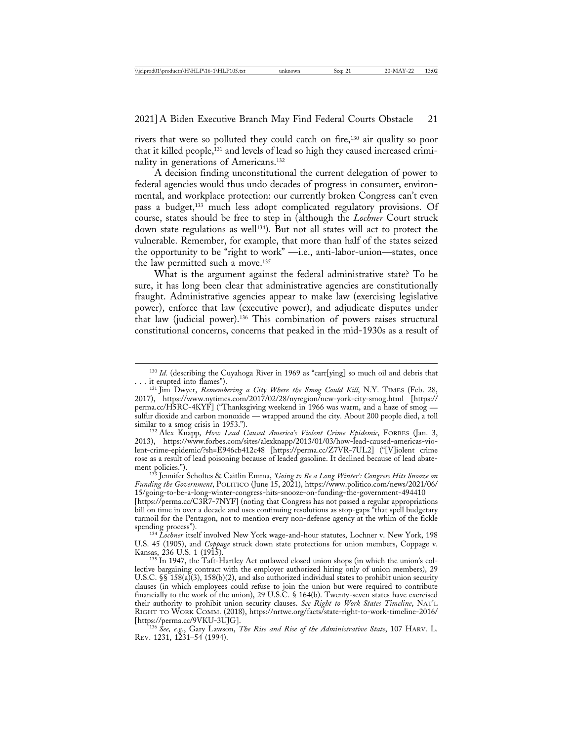rivers that were so polluted they could catch on fire,130 air quality so poor that it killed people,<sup>131</sup> and levels of lead so high they caused increased criminality in generations of Americans.132

A decision finding unconstitutional the current delegation of power to federal agencies would thus undo decades of progress in consumer, environmental, and workplace protection: our currently broken Congress can't even pass a budget,133 much less adopt complicated regulatory provisions. Of course, states should be free to step in (although the *Lochner* Court struck down state regulations as well<sup>134</sup>). But not all states will act to protect the vulnerable. Remember, for example, that more than half of the states seized the opportunity to be "right to work" —i.e., anti-labor-union—states, once the law permitted such a move.135

What is the argument against the federal administrative state? To be sure, it has long been clear that administrative agencies are constitutionally fraught. Administrative agencies appear to make law (exercising legislative power), enforce that law (executive power), and adjudicate disputes under that law (judicial power).136 This combination of powers raises structural constitutional concerns, concerns that peaked in the mid-1930s as a result of

ment policies."). <sup>133</sup> Jennifer Scholtes & Caitlin Emma, *'Going to Be a Long Winter': Congress Hits Snooze on Funding the Government*, POLITICO (June 15, 2021), https://www.politico.com/news/2021/06/ 15/going-to-be-a-long-winter-congress-hits-snooze-on-funding-the-government-494410

[https://perma.cc/C3R7-7NYF] (noting that Congress has not passed a regular appropriations bill on time in over a decade and uses continuing resolutions as stop-gaps "that spell budgetary turmoil for the Pentagon, not to mention every non-defense agency at the whim of the fickle

spending process"). <sup>134</sup> *Lochner* itself involved New York wage-and-hour statutes, Lochner v. New York, 198 U.S. 45 (1905), and *Coppage* struck down state protections for union members, Coppage v.

135 In 1947, the Taft-Hartley Act outlawed closed union shops (in which the union's collective bargaining contract with the employer authorized hiring only of union members), 29 U.S.C. §§ 158(a)(3), 158(b)(2), and also authorized individual states to prohibit union security clauses (in which employees could refuse to join the union but were required to contribute financially to the work of the union), 29 U.S.C. § 164(b). Twenty-seven states have exercised their authority to prohibit union security clauses. *See Right to Work States Timeline*, NAT'L RIGHT TO WORK COMM. (2018), https://nrtwc.org/facts/state-right-to-work-timeline-2016/<br>[https://perma.cc/9VKU-3UJG].

<sup>136</sup> See, e.g., Gary Lawson, *The Rise and Rise of the Administrative State*, 107 HARV. L. REV. 1231, 1231–54 (1994).

<sup>&</sup>lt;sup>130</sup> *Id.* (describing the Cuyahoga River in 1969 as "carr[ying] so much oil and debris that

<sup>. . .</sup> it erupted into flames"). <sup>131</sup> Jim Dwyer, *Remembering a City Where the Smog Could Kill*, N.Y. TIMES (Feb. 28, 2017), https://www.nytimes.com/2017/02/28/nyregion/new-york-city-smog.html [https:// perma.cc/H5RC-4KYF] ("Thanksgiving weekend in 1966 was warm, and a haze of smog sulfur dioxide and carbon monoxide — wrapped around the city. About 200 people died, a toll

<sup>&</sup>lt;sup>132</sup> Alex Knapp, *How Lead Caused America's Violent Crime Epidemic*, FORBES (Jan. 3, 2013), https://www.forbes.com/sites/alexknapp/2013/01/03/how-lead-caused-americas-violent-crime-epidemic/?sh=E946cb412c48 [https://perma.cc/Z7VR-7UL2] ("[V]iolent crime rose as a result of lead poisoning because of leaded gasoline. It declined because of lead abate-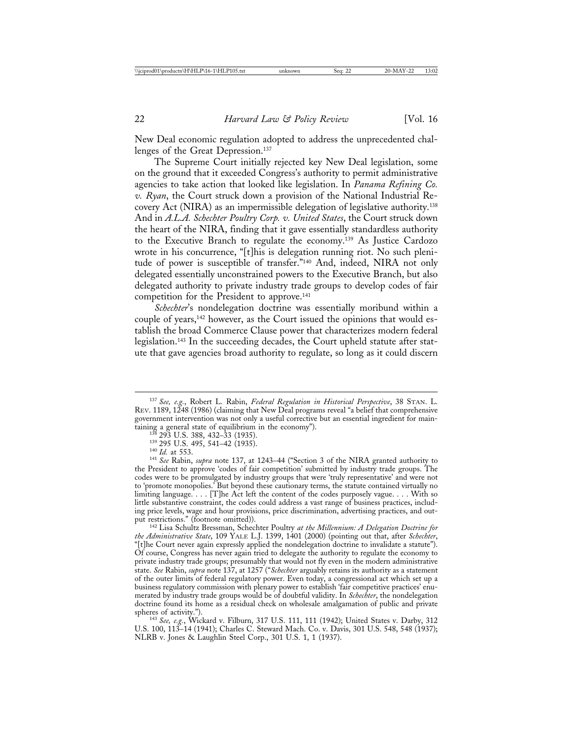New Deal economic regulation adopted to address the unprecedented challenges of the Great Depression.137

The Supreme Court initially rejected key New Deal legislation, some on the ground that it exceeded Congress's authority to permit administrative agencies to take action that looked like legislation. In *Panama Refining Co. v. Ryan*, the Court struck down a provision of the National Industrial Recovery Act (NIRA) as an impermissible delegation of legislative authority.138 And in *A.L.A. Schechter Poultry Corp. v. United States*, the Court struck down the heart of the NIRA, finding that it gave essentially standardless authority to the Executive Branch to regulate the economy.139 As Justice Cardozo wrote in his concurrence, "[t]his is delegation running riot. No such plenitude of power is susceptible of transfer."140 And, indeed, NIRA not only delegated essentially unconstrained powers to the Executive Branch, but also delegated authority to private industry trade groups to develop codes of fair competition for the President to approve.141

*Schechter*'s nondelegation doctrine was essentially moribund within a couple of years,<sup>142</sup> however, as the Court issued the opinions that would establish the broad Commerce Clause power that characterizes modern federal legislation.143 In the succeeding decades, the Court upheld statute after statute that gave agencies broad authority to regulate, so long as it could discern

<sup>142</sup> Lisa Schultz Bressman, Schechter Poultry at the Millennium: A Delegation Doctrine for *the Administrative State*, 109 YALE L.J. 1399, 1401 (2000) (pointing out that, after *Schechter*, "[t]he Court never again expressly applied the nondelegation doctrine to invalidate a statute"). Of course, Congress has never again tried to delegate the authority to regulate the economy to private industry trade groups; presumably that would not fly even in the modern administrative state. *See* Rabin, *supra* note 137, at 1257 ("*Schechter* arguably retains its authority as a statement of the outer limits of federal regulatory power. Even today, a congressional act which set up a business regulatory commission with plenary power to establish 'fair competitive practices' enumerated by industry trade groups would be of doubtful validity. In *Schechter*, the nondelegation doctrine found its home as a residual check on wholesale amalgamation of public and private

spheres of activity."). <sup>143</sup> *See, e.g.*, Wickard v. Filburn, 317 U.S. 111, 111 (1942); United States v. Darby, 312 U.S. 100, 113–14 (1941); Charles C. Steward Mach. Co. v. Davis, 301 U.S. 548, 548 (1937); NLRB v. Jones & Laughlin Steel Corp., 301 U.S. 1, 1 (1937).

<sup>137</sup> *See, e.g.*, Robert L. Rabin, *Federal Regulation in Historical Perspective*, 38 STAN. L. REV. 1189, 1248 (1986) (claiming that New Deal programs reveal "a belief that comprehensive government intervention was not only a useful corrective but an essential ingredient for maintaining a general state of equilibrium in the economy").<br>  $^{138}$  293 U.S. 388, 432–33 (1935).<br>  $^{139}$  295 U.S. 495, 541–42 (1935).<br>  $^{140}$  *Id.* at 553.<br>  $^{141}$  *See* Rabin, *supra* note 137, at 1243–44 ("Section 3 of

the President to approve 'codes of fair competition' submitted by industry trade groups. The codes were to be promulgated by industry groups that were 'truly representative' and were not to 'promote monopolies.' But beyond these cautionary terms, the statute contained virtually no limiting language. . . . [T]he Act left the content of the codes purposely vague. . . . With so little substantive constraint, the codes could address a vast range of business practices, including price levels, wage and hour provisions, price discrimination, advertising practices, and out-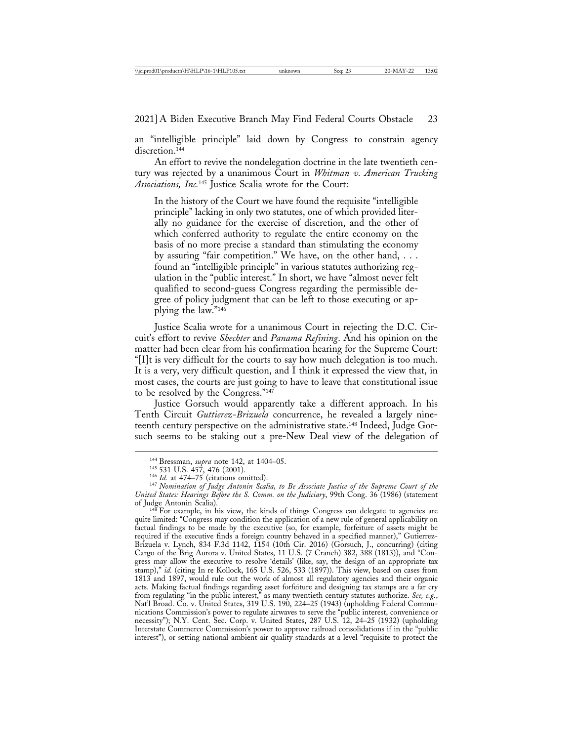an "intelligible principle" laid down by Congress to constrain agency discretion.<sup>144</sup>

An effort to revive the nondelegation doctrine in the late twentieth century was rejected by a unanimous Court in *Whitman v. American Trucking Associations, Inc.*145 Justice Scalia wrote for the Court:

In the history of the Court we have found the requisite "intelligible principle" lacking in only two statutes, one of which provided literally no guidance for the exercise of discretion, and the other of which conferred authority to regulate the entire economy on the basis of no more precise a standard than stimulating the economy by assuring "fair competition." We have, on the other hand, . . . found an "intelligible principle" in various statutes authorizing regulation in the "public interest." In short, we have "almost never felt qualified to second-guess Congress regarding the permissible degree of policy judgment that can be left to those executing or applying the law."146

Justice Scalia wrote for a unanimous Court in rejecting the D.C. Circuit's effort to revive *Shechter* and *Panama Refining*. And his opinion on the matter had been clear from his confirmation hearing for the Supreme Court: "[I]t is very difficult for the courts to say how much delegation is too much. It is a very, very difficult question, and I think it expressed the view that, in most cases, the courts are just going to have to leave that constitutional issue to be resolved by the Congress."147

Justice Gorsuch would apparently take a different approach. In his Tenth Circuit *Guttierez-Brizuela* concurrence, he revealed a largely nineteenth century perspective on the administrative state.148 Indeed, Judge Gorsuch seems to be staking out a pre-New Deal view of the delegation of

 $148$  For example, in his view, the kinds of things Congress can delegate to agencies are quite limited: "Congress may condition the application of a new rule of general applicability on factual findings to be made by the executive (so, for example, forfeiture of assets might be required if the executive finds a foreign country behaved in a specified manner)," Gutierrez-Brizuela v. Lynch, 834 F.3d 1142, 1154 (10th Cir. 2016) (Gorsuch, J., concurring) (citing Cargo of the Brig Aurora v. United States, 11 U.S. (7 Cranch) 382, 388 (1813)), and "Congress may allow the executive to resolve 'details' (like, say, the design of an appropriate tax stamp)," *id.* (citing In re Kollock, 165 U.S. 526, 533 (1897)). This view, based on cases from 1813 and 1897, would rule out the work of almost all regulatory agencies and their organic acts. Making factual findings regarding asset forfeiture and designing tax stamps are a far cry from regulating "in the public interest," as many twentieth century statutes authorize. *See, e.g.*, Nat'l Broad. Co. v. United States, 319 U.S. 190, 224–25 (1943) (upholding Federal Communications Commission's power to regulate airwaves to serve the "public interest, convenience or necessity"); N.Y. Cent. Sec. Corp. v. United States, 287 U.S. 12, 24–25 (1932) (upholding Interstate Commerce Commission's power to approve railroad consolidations if in the "public interest"), or setting national ambient air quality standards at a level "requisite to protect the

<sup>&</sup>lt;sup>144</sup> Bressman, *supra* note 142, at 1404–05.<br><sup>145</sup> 531 U.S. 457, 476 (2001).<br><sup>146</sup> *Id.* at 474–75 (citations omitted). <sup>147</sup> *Nomination of Judge Antonin Scalia, to Be Associate Justice of the Supreme Court of the United States: Hearings Before the S. Comm. on the Judiciary*, 99th Cong. 36<sup>'</sup>(1986) (statement of Judge Antonin Scalia).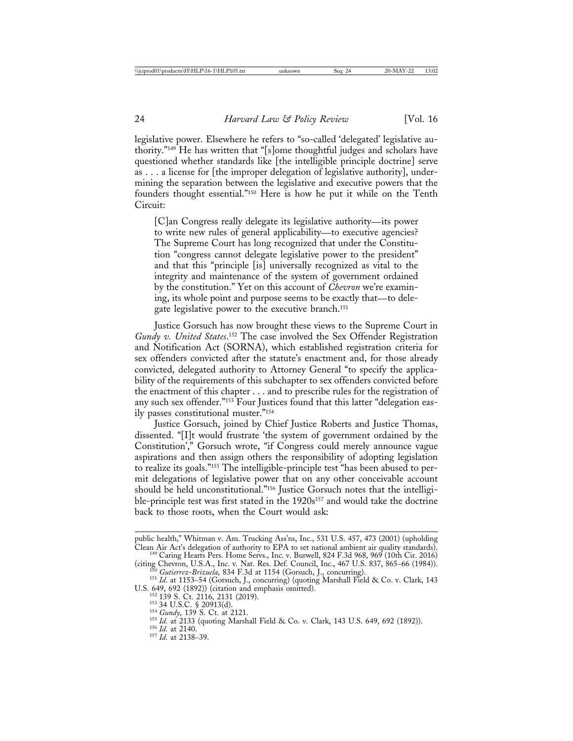legislative power. Elsewhere he refers to "so-called 'delegated' legislative authority."149 He has written that "[s]ome thoughtful judges and scholars have questioned whether standards like [the intelligible principle doctrine] serve as . . . a license for [the improper delegation of legislative authority], undermining the separation between the legislative and executive powers that the founders thought essential."150 Here is how he put it while on the Tenth Circuit:

[C]an Congress really delegate its legislative authority—its power to write new rules of general applicability—to executive agencies? The Supreme Court has long recognized that under the Constitution "congress cannot delegate legislative power to the president" and that this "principle [is] universally recognized as vital to the integrity and maintenance of the system of government ordained by the constitution." Yet on this account of *Chevron* we're examining, its whole point and purpose seems to be exactly that—to delegate legislative power to the executive branch.151

Justice Gorsuch has now brought these views to the Supreme Court in *Gundy v. United States*. 152 The case involved the Sex Offender Registration and Notification Act (SORNA), which established registration criteria for sex offenders convicted after the statute's enactment and, for those already convicted, delegated authority to Attorney General "to specify the applicability of the requirements of this subchapter to sex offenders convicted before the enactment of this chapter . . . and to prescribe rules for the registration of any such sex offender."153 Four Justices found that this latter "delegation easily passes constitutional muster."154

Justice Gorsuch, joined by Chief Justice Roberts and Justice Thomas, dissented. "[I]t would frustrate 'the system of government ordained by the Constitution'," Gorsuch wrote, "if Congress could merely announce vague aspirations and then assign others the responsibility of adopting legislation to realize its goals."155 The intelligible-principle test "has been abused to permit delegations of legislative power that on any other conceivable account should be held unconstitutional."<sup>156</sup> Justice Gorsuch notes that the intelligible-principle test was first stated in the 1920s<sup>157</sup> and would take the doctrine back to those roots, when the Court would ask:

public health," Whitman v. Am. Trucking Ass'ns, Inc., 531 U.S. 457, 473 (2001) (upholding Clean Air Act's delegation of authority to EPA to set national ambient air quality standards). <sup>149</sup> Caring Hearts Pers. Home Servs., Inc. v. Burwell, 824 F.3d 968, 969 (10th Cir. 2016) (citing Chevron, U.S.A., Inc. v. Nat

 $^{150}$  Gutierrez-Brizuela, 834 F.3d at 1154 (Gorsuch, J., concurring).<br><sup>151</sup> Id. at 1153–54 (Gorsuch, J., concurring) (quoting Marshall Field & Co. v. Clark, 143<br>U.S. 649, 692 (1892)) (citation and emphasis omitted).

<sup>&</sup>lt;sup>152</sup> 139 S. Ct. 2116, 2131 (2019).<br><sup>153</sup> 34 U.S.C. § 20913(d).<br><sup>154</sup> *Gundy*, 139 S. Ct. at 2121.<br><sup>155</sup> *Id.* at 2133 (quoting Marshall Field & Co. v. Clark, 143 U.S. 649, 692 (1892)).<br><sup>156</sup> *Id.* at 2138–39.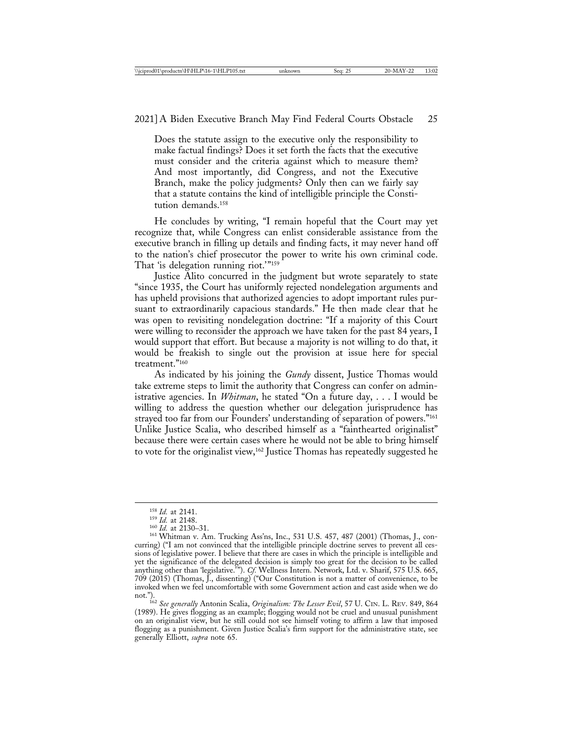Does the statute assign to the executive only the responsibility to make factual findings? Does it set forth the facts that the executive must consider and the criteria against which to measure them? And most importantly, did Congress, and not the Executive Branch, make the policy judgments? Only then can we fairly say that a statute contains the kind of intelligible principle the Constitution demands.158

He concludes by writing, "I remain hopeful that the Court may yet recognize that, while Congress can enlist considerable assistance from the executive branch in filling up details and finding facts, it may never hand off to the nation's chief prosecutor the power to write his own criminal code. That 'is delegation running riot.'"<sup>159</sup>

Justice Alito concurred in the judgment but wrote separately to state "since 1935, the Court has uniformly rejected nondelegation arguments and has upheld provisions that authorized agencies to adopt important rules pursuant to extraordinarily capacious standards." He then made clear that he was open to revisiting nondelegation doctrine: "If a majority of this Court were willing to reconsider the approach we have taken for the past 84 years, I would support that effort. But because a majority is not willing to do that, it would be freakish to single out the provision at issue here for special treatment."160

As indicated by his joining the *Gundy* dissent, Justice Thomas would take extreme steps to limit the authority that Congress can confer on administrative agencies. In *Whitman*, he stated "On a future day, . . . I would be willing to address the question whether our delegation jurisprudence has strayed too far from our Founders' understanding of separation of powers."161 Unlike Justice Scalia, who described himself as a "fainthearted originalist" because there were certain cases where he would not be able to bring himself to vote for the originalist view,162 Justice Thomas has repeatedly suggested he

<sup>&</sup>lt;sup>158</sup> *Id.* at 2141.<br><sup>159</sup> *Id.* at 2148.<br><sup>160</sup> *Id.* at 2130–31.<br><sup>161</sup> Whitman v. Am. Trucking Ass'ns, Inc., 531 U.S. 457, 487 (2001) (Thomas, J., concurring) ("I am not convinced that the intelligible principle doctrine serves to prevent all cessions of legislative power. I believe that there are cases in which the principle is intelligible and yet the significance of the delegated decision is simply too great for the decision to be called anything other than 'legislative.'"). *Cf.* Wellness Intern. Network, Ltd. v. Sharif, 575 U.S. 665, 709 (2015) (Thomas, J., dissenting) ("Our Constitution is not a matter of convenience, to be invoked when we feel uncomfortable with some Government action and cast aside when we do

not."). <sup>162</sup> *See generally* Antonin Scalia, *Originalism: The Lesser Evil*, 57 U. CIN. L. REV. 849, 864 (1989). He gives flogging as an example; flogging would not be cruel and unusual punishment on an originalist view, but he still could not see himself voting to affirm a law that imposed flogging as a punishment. Given Justice Scalia's firm support for the administrative state, see generally Elliott, *supra* note 65.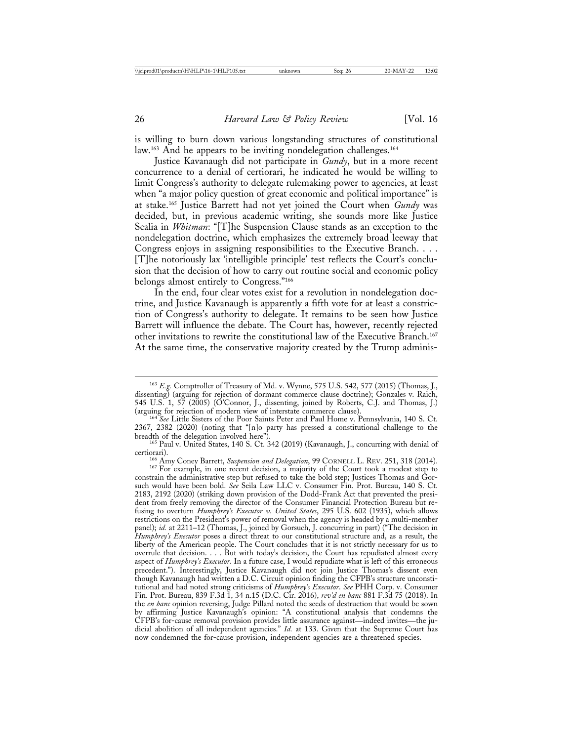is willing to burn down various longstanding structures of constitutional law.<sup>163</sup> And he appears to be inviting nondelegation challenges.<sup>164</sup>

Justice Kavanaugh did not participate in *Gundy*, but in a more recent concurrence to a denial of certiorari, he indicated he would be willing to limit Congress's authority to delegate rulemaking power to agencies, at least when "a major policy question of great economic and political importance" is at stake.165 Justice Barrett had not yet joined the Court when *Gundy* was decided, but, in previous academic writing, she sounds more like Justice Scalia in *Whitman*: "[T]he Suspension Clause stands as an exception to the nondelegation doctrine, which emphasizes the extremely broad leeway that Congress enjoys in assigning responsibilities to the Executive Branch. . . . [T]he notoriously lax 'intelligible principle' test reflects the Court's conclusion that the decision of how to carry out routine social and economic policy belongs almost entirely to Congress."166

In the end, four clear votes exist for a revolution in nondelegation doctrine, and Justice Kavanaugh is apparently a fifth vote for at least a constriction of Congress's authority to delegate. It remains to be seen how Justice Barrett will influence the debate. The Court has, however, recently rejected other invitations to rewrite the constitutional law of the Executive Branch.167 At the same time, the conservative majority created by the Trump adminis-

<sup>163</sup> *E.g.* Comptroller of Treasury of Md. v. Wynne, 575 U.S. 542, 577 (2015) (Thomas, J., dissenting) (arguing for rejection of dormant commerce clause doctrine); Gonzales v. Raich, 545 U.S. 1, 57 (2005) (O'Connor, J., dissenting, joined by Roberts, C.J. and Thomas, J.) (arguing for rejection of modern view of interstate commerce clause). <sup>164</sup> *See* Little Sisters of the Poor Saints Peter and Paul Home v. Pennsylvania, 140 S. Ct.

<sup>2367, 2382 (2020) (</sup>noting that "[n]o party has pressed a constitutional challenge to the

<sup>&</sup>lt;sup>165</sup> Paul v. United States, 140 S. Ct. 342 (2019) (Kavanaugh, J., concurring with denial of

certiorari). <sup>166</sup> Amy Coney Barrett, *Suspension and Delegation*, 99 CORNELL L. REV. 251, 318 (2014). <sup>167</sup> For example, in one recent decision, a majority of the Court took a modest step to constrain the administrative step but refused to take the bold step; Justices Thomas and Gorsuch would have been bold. *See* Seila Law LLC v. Consumer Fin. Prot. Bureau, 140 S. Ct. 2183, 2192 (2020) (striking down provision of the Dodd-Frank Act that prevented the president from freely removing the director of the Consumer Financial Protection Bureau but refusing to overturn *Humphrey's Executor v. United States*, 295 U.S. 602 (1935), which allows restrictions on the President's power of removal when the agency is headed by a multi-member panel); *id.* at 2211-12 (Thomas, J., joined by Gorsuch, J. concurring in part) ("The decision in *Humphrey's Executor* poses a direct threat to our constitutional structure and, as a result, the liberty of the American people. The Court concludes that it is not strictly necessary for us to overrule that decision. . . . But with today's decision, the Court has repudiated almost every aspect of *Humphrey's Executor*. In a future case, I would repudiate what is left of this erroneous precedent."). Interestingly, Justice Kavanaugh did not join Justice Thomas's dissent even though Kavanaugh had written a D.C. Circuit opinion finding the CFPB's structure unconstitutional and had noted strong criticisms of *Humphrey's Executor*. *See* PHH Corp. v. Consumer Fin. Prot. Bureau, 839 F.3d 1, 34 n.15 (D.C. Cir. 2016), *rev'd en banc* 881 F.3d 75 (2018). In the *en banc* opinion reversing, Judge Pillard noted the seeds of destruction that would be sown by affirming Justice Kavanaugh's opinion: "A constitutional analysis that condemns the CFPB's for-cause removal provision provides little assurance against—indeed invites—the judicial abolition of all independent agencies." *Id.* at 133. Given that the Supreme Court has now condemned the for-cause provision, independent agencies are a threatened species.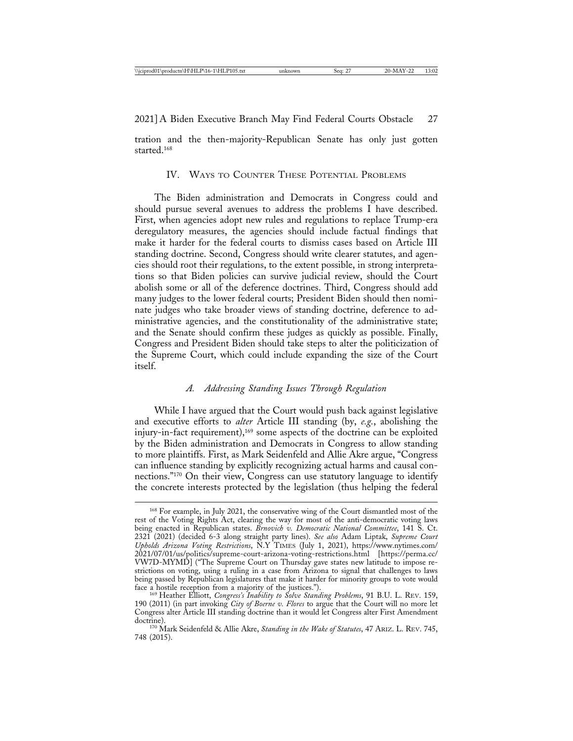2021] A Biden Executive Branch May Find Federal Courts Obstacle 27

tration and the then-majority-Republican Senate has only just gotten started.168

## IV. WAYS TO COUNTER THESE POTENTIAL PROBLEMS

The Biden administration and Democrats in Congress could and should pursue several avenues to address the problems I have described. First, when agencies adopt new rules and regulations to replace Trump-era deregulatory measures, the agencies should include factual findings that make it harder for the federal courts to dismiss cases based on Article III standing doctrine. Second, Congress should write clearer statutes, and agencies should root their regulations, to the extent possible, in strong interpretations so that Biden policies can survive judicial review, should the Court abolish some or all of the deference doctrines. Third, Congress should add many judges to the lower federal courts; President Biden should then nominate judges who take broader views of standing doctrine, deference to administrative agencies, and the constitutionality of the administrative state; and the Senate should confirm these judges as quickly as possible. Finally, Congress and President Biden should take steps to alter the politicization of the Supreme Court, which could include expanding the size of the Court itself.

# *A. Addressing Standing Issues Through Regulation*

While I have argued that the Court would push back against legislative and executive efforts to *alter* Article III standing (by, *e.g.*, abolishing the injury-in-fact requirement),<sup>169</sup> some aspects of the doctrine can be exploited by the Biden administration and Democrats in Congress to allow standing to more plaintiffs. First, as Mark Seidenfeld and Allie Akre argue, "Congress can influence standing by explicitly recognizing actual harms and causal connections."170 On their view, Congress can use statutory language to identify the concrete interests protected by the legislation (thus helping the federal

<sup>168</sup> For example, in July 2021, the conservative wing of the Court dismantled most of the rest of the Voting Rights Act, clearing the way for most of the anti-democratic voting laws being enacted in Republican states. *Brnovich v. Democratic National Committee*, 141 S. Ct. 2321 (2021) (decided 6-3 along straight party lines). *See also* Adam Liptak, *Supreme Court Upholds Arizona Voting Restrictions*, N.Y TIMES (July 1, 2021), https://www.nytimes.com/ 2021/07/01/us/politics/supreme-court-arizona-voting-restrictions.html [https://perma.cc/ VW7D-MYMD] ("The Supreme Court on Thursday gave states new latitude to impose restrictions on voting, using a ruling in a case from Arizona to signal that challenges to laws being passed by Republican legislatures that make it harder for minority groups to vote would face a hostile reception from a majority of the justices."). <sup>169</sup> Heather Elliott, *Congress's Inability to Solve Standing Problems*, 91 B.U. L. REV. 159,

<sup>190 (2011) (</sup>in part invoking *City of Boerne v. Flores* to argue that the Court will no more let Congress alter Article III standing doctrine than it would let Congress alter First Amendment

<sup>&</sup>lt;sup>170</sup> Mark Seidenfeld & Allie Akre, *Standing in the Wake of Statutes*, 47 ARIZ. L. REV. 745, 748 (2015).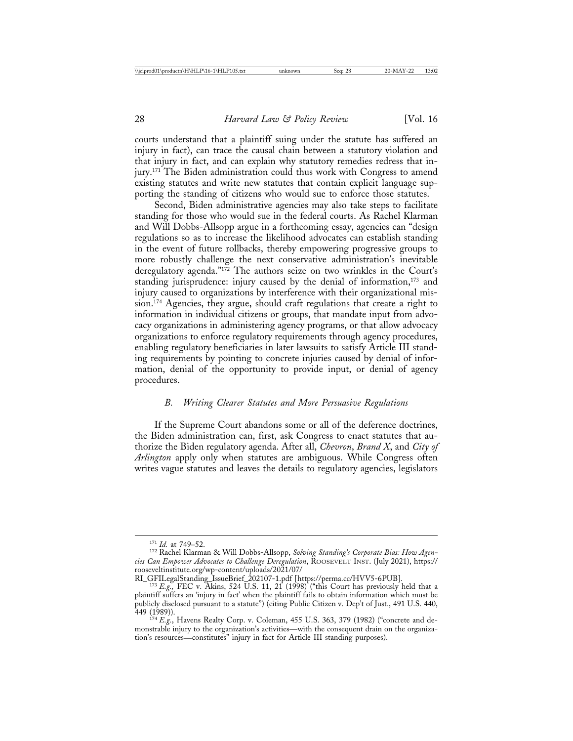courts understand that a plaintiff suing under the statute has suffered an injury in fact), can trace the causal chain between a statutory violation and that injury in fact, and can explain why statutory remedies redress that injury.<sup>171</sup> The Biden administration could thus work with Congress to amend existing statutes and write new statutes that contain explicit language supporting the standing of citizens who would sue to enforce those statutes.

Second, Biden administrative agencies may also take steps to facilitate standing for those who would sue in the federal courts. As Rachel Klarman and Will Dobbs-Allsopp argue in a forthcoming essay, agencies can "design regulations so as to increase the likelihood advocates can establish standing in the event of future rollbacks, thereby empowering progressive groups to more robustly challenge the next conservative administration's inevitable deregulatory agenda."172 The authors seize on two wrinkles in the Court's standing jurisprudence: injury caused by the denial of information,<sup>173</sup> and injury caused to organizations by interference with their organizational mission.174 Agencies, they argue, should craft regulations that create a right to information in individual citizens or groups, that mandate input from advocacy organizations in administering agency programs, or that allow advocacy organizations to enforce regulatory requirements through agency procedures, enabling regulatory beneficiaries in later lawsuits to satisfy Article III standing requirements by pointing to concrete injuries caused by denial of information, denial of the opportunity to provide input, or denial of agency procedures.

#### *B. Writing Clearer Statutes and More Persuasive Regulations*

If the Supreme Court abandons some or all of the deference doctrines, the Biden administration can, first, ask Congress to enact statutes that authorize the Biden regulatory agenda. After all, *Chevron*, *Brand X*, and *City of Arlington* apply only when statutes are ambiguous. While Congress often writes vague statutes and leaves the details to regulatory agencies, legislators

<sup>&</sup>lt;sup>171</sup> *Id.* at 749–52.<br><sup>172</sup> Rachel Klarman & Will Dobbs-Allsopp, *Solving Standing's Corporate Bias: How Agencies Can Empower Advocates to Challenge Deregulation*, ROOSEVELT INST. (July 2021), https:// rooseveltinstitute.org/wp-content/uploads/2021/07/

RI\_GFILegalStanding\_IssueBrief\_202107-1.pdf [https://perma.cc/HVV5-6PUB]. <sup>173</sup> *E.g.,* FEC v. Akins, 524 U.S. 11, 21 (1998) ("this Court has previously held that a plaintiff suffers an 'injury in fact' when the plaintiff fails to obtain information which must be publicly disclosed pursuant to a statute") (citing Public Citizen v. Dep't of Just., 491 U.S. 440,

<sup>&</sup>lt;sup>174</sup> *E.g.*, Havens Realty Corp. v. Coleman, 455 U.S. 363, 379 (1982) ("concrete and demonstrable injury to the organization's activities—with the consequent drain on the organization's resources—constitutes" injury in fact for Article III standing purposes).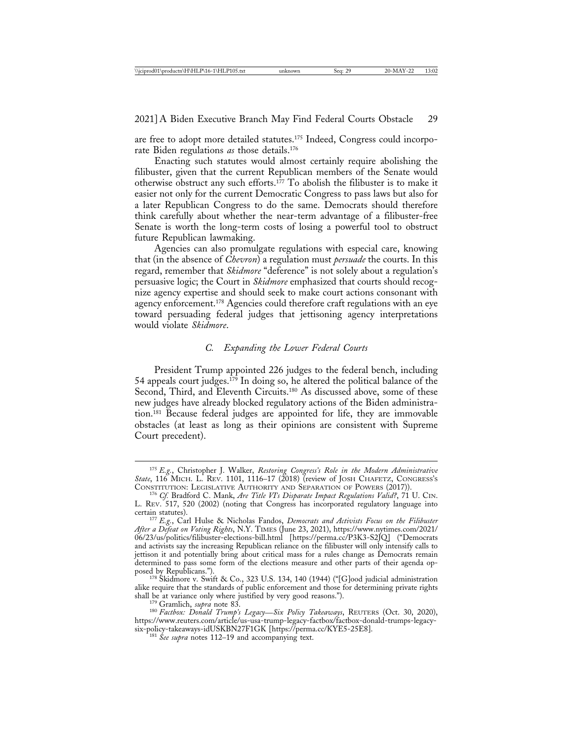are free to adopt more detailed statutes.<sup>175</sup> Indeed, Congress could incorporate Biden regulations *as* those details.176

Enacting such statutes would almost certainly require abolishing the filibuster, given that the current Republican members of the Senate would otherwise obstruct any such efforts.177 To abolish the filibuster is to make it easier not only for the current Democratic Congress to pass laws but also for a later Republican Congress to do the same. Democrats should therefore think carefully about whether the near-term advantage of a filibuster-free Senate is worth the long-term costs of losing a powerful tool to obstruct future Republican lawmaking.

Agencies can also promulgate regulations with especial care, knowing that (in the absence of *Chevron*) a regulation must *persuade* the courts. In this regard, remember that *Skidmore* "deference" is not solely about a regulation's persuasive logic; the Court in *Skidmore* emphasized that courts should recognize agency expertise and should seek to make court actions consonant with agency enforcement.178 Agencies could therefore craft regulations with an eye toward persuading federal judges that jettisoning agency interpretations would violate *Skidmore*.

### *C. Expanding the Lower Federal Courts*

President Trump appointed 226 judges to the federal bench, including 54 appeals court judges.179 In doing so, he altered the political balance of the Second, Third, and Eleventh Circuits.<sup>180</sup> As discussed above, some of these new judges have already blocked regulatory actions of the Biden administration.181 Because federal judges are appointed for life, they are immovable obstacles (at least as long as their opinions are consistent with Supreme Court precedent).

<sup>175</sup> *E.g.*, Christopher J. Walker, *Restoring Congress's Role in the Modern Administrative State*, 116 MICH. L. Rev. 1101, 1116–17 (2018) (review of JOSH CHAFETZ, CONGRESS's<br>CONSTITUTION: LEGISLATIVE AUTHORITY AND SEPARATION OF POWERS (2017)).

<sup>&</sup>lt;sup>176</sup> Cf. Bradford C. Mank, *Are Title VI's Disparate Impact Regulations Valid?*, 71 U. CIN. L. REV. 517, 520 (2002) (noting that Congress has incorporated regulatory language into

<sup>&</sup>lt;sup>177</sup> *E.g.*, Carl Hulse & Nicholas Fandos, *Democrats and Activists Focus on the Filibuster After a Defeat on Voting Rights*, N.Y. TIMES (June 23, 2021), https://www.nytimes.com/2021/ 06/23/us/politics/filibuster-elections-bill.html [https://perma.cc/P3K3-S2JQ] ("Democrats and activists say the increasing Republican reliance on the filibuster will only intensify calls to jettison it and potentially bring about critical mass for a rules change as Democrats remain determined to pass some form of the elections measure and other parts of their agenda op-

<sup>&</sup>lt;sup>78</sup> Skidmore v. Swift & Co., 323 U.S. 134, 140 (1944) ("[G]ood judicial administration alike require that the standards of public enforcement and those for determining private rights shall be at variance only where justified by very good reasons.").

shall be at variance only when the at very good reasons."<br><sup>179</sup> Gramlich, *supra* note 83. *Legacy—Six Policy Takeaways*, REUTERS (Oct. 30, 2020), https://www.reuters.com/article/us-usa-trump-legacy-factbox/factbox-donald-trumps-legacy-

<sup>&</sup>lt;sup>181</sup> See supra notes 112–19 and accompanying text.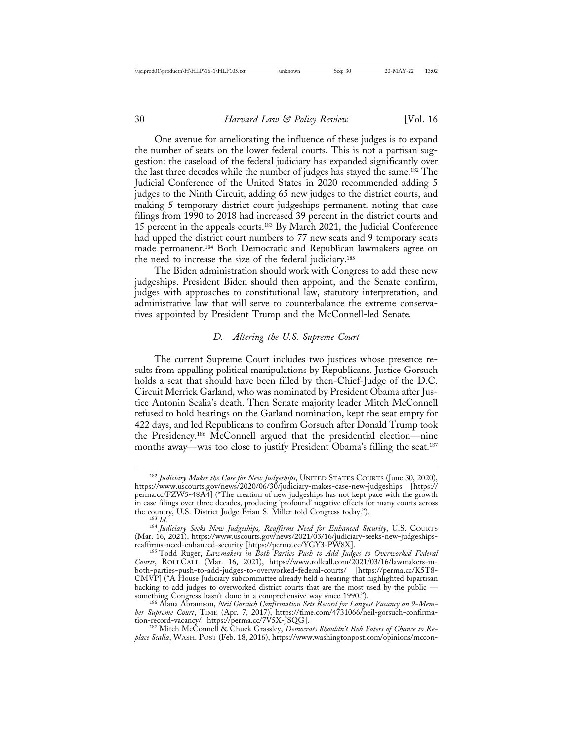One avenue for ameliorating the influence of these judges is to expand the number of seats on the lower federal courts. This is not a partisan suggestion: the caseload of the federal judiciary has expanded significantly over the last three decades while the number of judges has stayed the same.182 The Judicial Conference of the United States in 2020 recommended adding 5 judges to the Ninth Circuit, adding 65 new judges to the district courts, and making 5 temporary district court judgeships permanent. noting that case filings from 1990 to 2018 had increased 39 percent in the district courts and 15 percent in the appeals courts.183 By March 2021, the Judicial Conference had upped the district court numbers to 77 new seats and 9 temporary seats made permanent.184 Both Democratic and Republican lawmakers agree on the need to increase the size of the federal judiciary.185

The Biden administration should work with Congress to add these new judgeships. President Biden should then appoint, and the Senate confirm, judges with approaches to constitutional law, statutory interpretation, and administrative law that will serve to counterbalance the extreme conservatives appointed by President Trump and the McConnell-led Senate.

#### *D. Altering the U.S. Supreme Court*

The current Supreme Court includes two justices whose presence results from appalling political manipulations by Republicans. Justice Gorsuch holds a seat that should have been filled by then-Chief-Judge of the D.C. Circuit Merrick Garland, who was nominated by President Obama after Justice Antonin Scalia's death. Then Senate majority leader Mitch McConnell refused to hold hearings on the Garland nomination, kept the seat empty for 422 days, and led Republicans to confirm Gorsuch after Donald Trump took the Presidency.186 McConnell argued that the presidential election—nine months away—was too close to justify President Obama's filling the seat.187

<sup>182</sup> *Judiciary Makes the Case for New Judgeships*, UNITED STATES COURTS (June 30, 2020), https://www.uscourts.gov/news/2020/06/30/judiciary-makes-case-new-judgeships [https:// perma.cc/FZW5-48A4] ("The creation of new judgeships has not kept pace with the growth in case filings over three decades, producing 'profound' negative effects for many courts across<br>the country, U.S. District Judge Brian S. Miller told Congress today."). the country, U.S. District Judge Brian S. Miller told Congress today."). <sup>183</sup> *Id.* <sup>184</sup> *Judiciary Seeks New Judgeships, Reaffirms Need for Enhanced Security*, U.S. COURTS

<sup>(</sup>Mar. 16, 2021), https://www.uscourts.gov/news/2021/03/16/judiciary-seeks-new-judgeshipsreaffirms-need-enhanced-security [https://perma.cc/YGY3-PW8X]. <sup>185</sup> Todd Ruger, *Lawmakers in Both Parties Push to Add Judges to Overworked Federal*

*Courts*, ROLLCALL (Mar. 16, 2021), https://www.rollcall.com/2021/03/16/lawmakers-inboth-parties-push-to-add-judges-to-overworked-federal-courts/ [https://perma.cc/K5T8- CMVP] ("A House Judiciary subcommittee already held a hearing that highlighted bipartisan backing to add judges to overworked district courts that are the most used by the public —

something Congress hasn't done in a comprehensive way since 1990."). <sup>186</sup> Alana Abramson, *Neil Gorsuch Confirmation Sets Record for Longest Vacancy on 9-Member Supreme Court*, TIME (Apr. 7, 2017), https://time.com/4731066/neil-gorsuch-confirma-

tion-record-vacancy/ [https://perma.cc/7V5X-JSQG]. <sup>187</sup> Mitch McConnell & Chuck Grassley, *Democrats Shouldn't Rob Voters of Chance to Replace Scalia*, WASH. POST (Feb. 18, 2016), https://www.washingtonpost.com/opinions/mccon-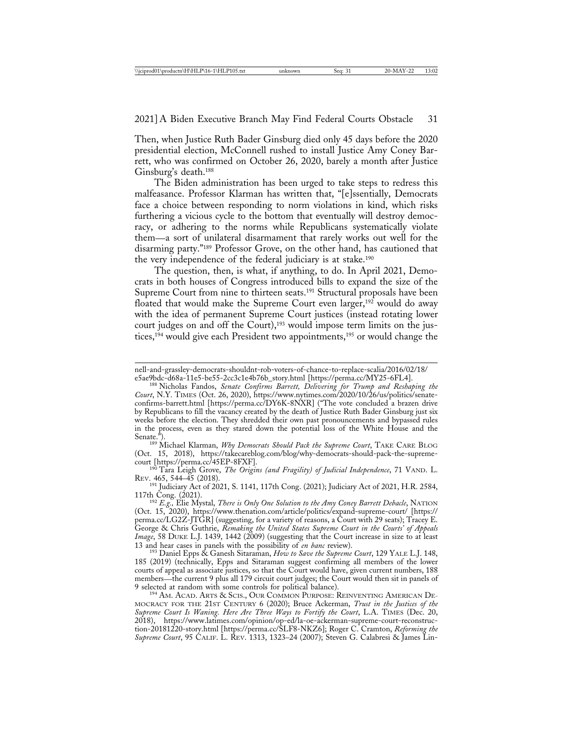Then, when Justice Ruth Bader Ginsburg died only 45 days before the 2020 presidential election, McConnell rushed to install Justice Amy Coney Barrett, who was confirmed on October 26, 2020, barely a month after Justice Ginsburg's death.188

The Biden administration has been urged to take steps to redress this malfeasance. Professor Klarman has written that, "[e]ssentially, Democrats face a choice between responding to norm violations in kind, which risks furthering a vicious cycle to the bottom that eventually will destroy democracy, or adhering to the norms while Republicans systematically violate them—a sort of unilateral disarmament that rarely works out well for the disarming party."189 Professor Grove, on the other hand, has cautioned that the very independence of the federal judiciary is at stake.190

The question, then, is what, if anything, to do. In April 2021, Democrats in both houses of Congress introduced bills to expand the size of the Supreme Court from nine to thirteen seats.<sup>191</sup> Structural proposals have been floated that would make the Supreme Court even larger,<sup>192</sup> would do away with the idea of permanent Supreme Court justices (instead rotating lower court judges on and off the Court),<sup>193</sup> would impose term limits on the justices,<sup>194</sup> would give each President two appointments,<sup>195</sup> or would change the

<sup>189</sup> Michael Klarman, *Why Democrats Should Pack the Supreme Court*, TAKE CARE BLOG (Oct. 15, 2018), https://takecareblog.com/blog/why-democrats-should-pack-the-supreme-

<sup>190</sup> Tara Leigh Grove, *The Origins (and Fragility) of Judicial Independence*, 71 VAND. L.<br>Rev. 465, 544–45 (2018).

<sup>191</sup> Judiciary Act of 2021, S. 1141, 117th Cong. (2021); Judiciary Act of 2021, H.R. 2584, 117th Cong. (2021).

<sup>192</sup> E.g., Elie Mystal, *There is Only One Solution to the Amy Coney Barrett Debacle*, NATION (Oct. 15, 2020), https://www.thenation.com/article/politics/expand-supreme-court/ [https:// perma.cc/LG2Z-JTGR] (suggesting, for a variety of reasons, a Court with 29 seats); Tracey E. George & Chris Guthrie, *Remaking the United States Supreme Court in the Courts' of Appeals Image*, 58 DUKE L.J. 1439, 1442 (2009) (suggesting that the Court increase in size to at least 13 and hear cases in panels with the possibility of *en banc* review). <sup>193</sup> Daniel Epps & Ganesh Sitaraman, *How to Save the Supreme Court*, 129 YALE L.J. 148,

185 (2019) (technically, Epps and Sitaraman suggest confirming all members of the lower courts of appeal as associate justices, so that the Court would have, given current numbers, 188 members—the current 9 plus all 179 circuit court judges; the Court would then sit in panels of 9 selected at random with some controls for political balance).

<sup>194</sup> AM. ACAD. ARTS & SCIS., OUR COMMON PURPOSE: REINVENTING AMERICAN DE-MOCRACY FOR THE 21ST CENTURY 6 (2020); Bruce Ackerman, *Trust in the Justices of the Supreme Court Is Waning. Here Are Three Ways to Fortify the Court*, L.A. TIMES (Dec. 20, 2018), https://www.latimes.com/opinion/op-ed/la-oe-ackerman-supreme-court-reconstruction-20181220-story.html [https://perma.cc/SLF8-NKZ6]; Roger C. Cramton, *Reforming the Supreme Court*, 95 CALIF. L. REV. 1313, 1323–24 (2007); Steven G. Calabresi & James Lin-

nell-and-grassley-democrats-shouldnt-rob-voters-of-chance-to-replace-scalia/2016/02/18/

e5ae9bdc-d68a-11e5-be55-2cc3c1e4b76b\_story.html [https://perma.cc/MY25-6FL4]. <sup>188</sup> Nicholas Fandos, *Senate Confirms Barrett, Delivering for Trump and Reshaping the Court*, N.Y. TIMES (Oct. 26, 2020), https://www.nytimes.com/2020/10/26/us/politics/senateconfirms-barrett.html [https://perma.cc/DY6K-8NXR] ("The vote concluded a brazen drive by Republicans to fill the vacancy created by the death of Justice Ruth Bader Ginsburg just six weeks before the election. They shredded their own past pronouncements and bypassed rules in the process, even as they stared down the potential loss of the White House and the Senate.").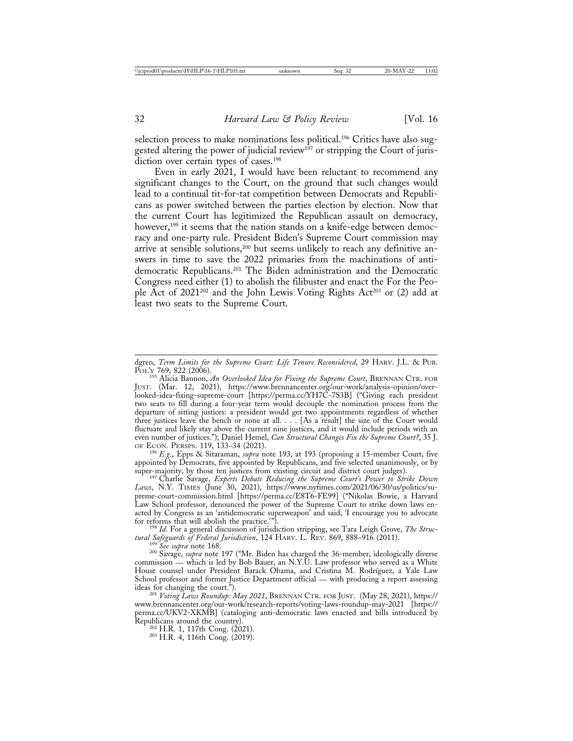selection process to make nominations less political.<sup>196</sup> Critics have also suggested altering the power of judicial review<sup>197</sup> or stripping the Court of jurisdiction over certain types of cases.<sup>198</sup>

Even in early 2021, I would have been reluctant to recommend any significant changes to the Court, on the ground that such changes would lead to a continual tit-for-tat competition between Democrats and Republicans as power switched between the parties election by election. Now that the current Court has legitimized the Republican assault on democracy, however,<sup>199</sup> it seems that the nation stands on a knife-edge between democracy and one-party rule. President Biden's Supreme Court commission may arrive at sensible solutions,200 but seems unlikely to reach any definitive answers in time to save the 2022 primaries from the machinations of antidemocratic Republicans.201 The Biden administration and the Democratic Congress need either (1) to abolish the filibuster and enact the For the People Act of 2021<sup>202</sup> and the John Lewis Voting Rights Act<sup>203</sup> or (2) add at least two seats to the Supreme Court.

appointed by Democrats, five appointed by Republicans, and five selected unanimously, or by

super-majority, by those ten justices from existing circuit and district court judges). <sup>197</sup> Charlie Savage, *Experts Debate Reducing the Supreme Court's Power to Strike Down Laws*, N.Y. TIMES (June 30, 2021), https://www.nytimes.com/2021/06/30/us/politics/supreme-court-commission.html [https://perma.cc/E8T6-FE99] ("Nikolas Bowie, a Harvard Law School professor, denounced the power of the Supreme Court to strike down laws enacted by Congress as an 'antidemocratic superweapon' and said, 'I encourage you to advocate

<sup>198</sup> Id. For a general discussion of jurisdiction stripping, see Tara Leigh Grove, *The Structural Safeguards of Federal Jurisdiction*, 124 HARV. L. REV. 869, 888–916 (2011).

<sup>199</sup> See supra note 168.<br><sup>200</sup> Savage, *supra* note 197 ("Mr. Biden has charged the 36-member, ideologically diverse commission — which is led by Bob Bauer, an N.Y.U. Law professor who served as a White House counsel under President Barack Obama, and Cristina M. Rodríguez, a Yale Law School professor and former Justice Department official — with producing a report assessing ideas for changing the court.").

ideas for changing the court."). <sup>201</sup> *Voting Laws Roundup: May 2021*, BRENNAN CTR. FOR JUST. (May 28, 2021), https:// www.brennancenter.org/our-work/research-reports/voting-laws-roundup-may-2021 [https:// perma.cc/UKV2-XKMB] (cataloging anti-democratic laws enacted and bills introduced by Republicans around the country).  $^{202}$  H.R. 1, 117th Cong. (2021).  $^{203}$  H.R. 4, 116th Cong. (2019).

dgren, *Term Limits for the Supreme Court: Life Tenure Reconsidered*, 29 HARV. J.L. & PUB.

POL'y 769, 822 (2006).<br><sup>195</sup> Alicia Bannon, *An Overlooked Idea for Fixing the Supreme Court*, BRENNAN CTR. FOR JUST. (Mar. 12, 2021), https://www.brennancenter.org/our-work/analysis-opinion/overlooked-idea-fixing-supreme-court [https://perma.cc/YH7C-7S3B] ("Giving each president two seats to fill during a four-year term would decouple the nomination process from the departure of sitting justices: a president would get two appointments regardless of whether three justices leave the bench or none at all. . . . [As a result] the size of the Court would fluctuate and likely stay above the current nine justices, and it would include periods with an even number of justices."); Daniel Hemel, *Can Structural Changes Fix the Supreme Court?*, 35 J. OF ECON. PERSPS. 119, 133–34 (2021). <sup>196</sup> *E.g.*, Epps & Sitaraman, *supra* note 193, at 193 (proposing a 15-member Court, five